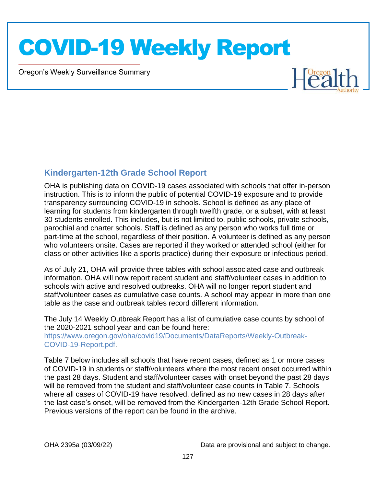Oregon's Weekly Surveillance Summary

Novel Coronavirus (COVID-19)



#### **Kindergarten-12th Grade School Report**

OHA is publishing data on COVID-19 cases associated with schools that offer in-person instruction. This is to inform the public of potential COVID-19 exposure and to provide transparency surrounding COVID-19 in schools. School is defined as any place of learning for students from kindergarten through twelfth grade, or a subset, with at least 30 students enrolled. This includes, but is not limited to, public schools, private schools, parochial and charter schools. Staff is defined as any person who works full time or part-time at the school, regardless of their position. A volunteer is defined as any person who volunteers onsite. Cases are reported if they worked or attended school (either for class or other activities like a sports practice) during their exposure or infectious period.

As of July 21, OHA will provide three tables with school associated case and outbreak information. OHA will now report recent student and staff/volunteer cases in addition to schools with active and resolved outbreaks. OHA will no longer report student and staff/volunteer cases as cumulative case counts. A school may appear in more than one table as the case and outbreak tables record different information.

The July 14 Weekly Outbreak Report has a list of cumulative case counts by school of the 2020-2021 school year and can be found here:

[https://www.oregon.gov/oha/covid19/Documents/DataReports/Weekly-Outbreak-](https://www.oregon.gov/oha/covid19/Documents/DataReports/Weekly-Outbreak-COVID-19-Report.pdf)[COVID-19-Report.pdf.](https://www.oregon.gov/oha/covid19/Documents/DataReports/Weekly-Outbreak-COVID-19-Report.pdf)

Table 7 below includes all schools that have recent cases, defined as 1 or more cases of COVID-19 in students or staff/volunteers where the most recent onset occurred within the past 28 days. Student and staff/volunteer cases with onset beyond the past 28 days will be removed from the student and staff/volunteer case counts in Table 7. Schools where all cases of COVID-19 have resolved, defined as no new cases in 28 days after the last case's onset, will be removed from the Kindergarten-12th Grade School Report. Previous versions of the report can be found in the archive.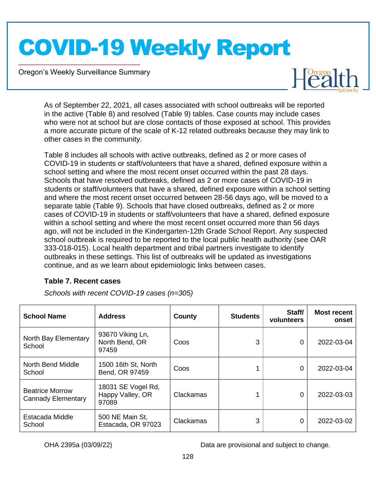Oregon's Weekly Surveillance Summary

Novel Coronavirus (COVID-19)



As of September 22, 2021, all cases associated with school outbreaks will be reported in the active (Table 8) and resolved (Table 9) tables. Case counts may include cases who were not at school but are close contacts of those exposed at school. This provides a more accurate picture of the scale of K-12 related outbreaks because they may link to other cases in the community.

Table 8 includes all schools with active outbreaks, defined as 2 or more cases of COVID-19 in students or staff/volunteers that have a shared, defined exposure within a school setting and where the most recent onset occurred within the past 28 days. Schools that have resolved outbreaks, defined as 2 or more cases of COVID-19 in students or staff/volunteers that have a shared, defined exposure within a school setting and where the most recent onset occurred between 28-56 days ago, will be moved to a separate table (Table 9). Schools that have closed outbreaks, defined as 2 or more cases of COVID-19 in students or staff/volunteers that have a shared, defined exposure within a school setting and where the most recent onset occurred more than 56 days ago, will not be included in the Kindergarten-12th Grade School Report. Any suspected school outbreak is required to be reported to the local public health authority (see OAR 333-018-015). Local health department and tribal partners investigate to identify outbreaks in these settings. This list of outbreaks will be updated as investigations continue, and as we learn about epidemiologic links between cases.

#### **Table 7. Recent cases**

*Schools with recent COVID-19 cases (n=305)*

| <b>School Name</b>                                  | <b>Address</b>                                  | County    | <b>Students</b> | Staff/<br>volunteers | <b>Most recent</b><br>onset |
|-----------------------------------------------------|-------------------------------------------------|-----------|-----------------|----------------------|-----------------------------|
| North Bay Elementary<br>School                      | 93670 Viking Ln,<br>North Bend, OR<br>97459     | Coos      | 3               | 0                    | 2022-03-04                  |
| North Bend Middle<br>School                         | 1500 16th St, North<br>Bend, OR 97459           | Coos      |                 | 0                    | 2022-03-04                  |
| <b>Beatrice Morrow</b><br><b>Cannady Elementary</b> | 18031 SE Vogel Rd,<br>Happy Valley, OR<br>97089 | Clackamas |                 | 0                    | 2022-03-03                  |
| Estacada Middle<br>School                           | 500 NE Main St,<br>Estacada, OR 97023           | Clackamas | 3               | 0                    | 2022-03-02                  |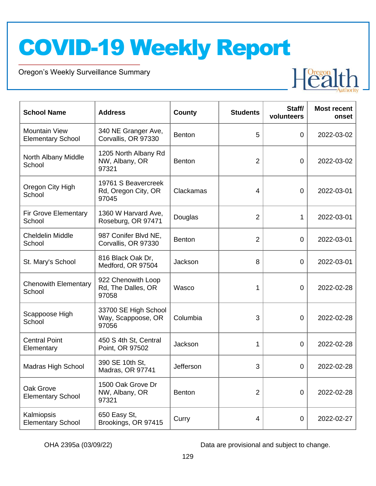Oregon's Weekly Surveillance Summary

Novel Coronavirus (COVID-19)



| <b>School Name</b>                               | <b>Address</b>                                      | <b>County</b> | <b>Students</b> | Staff/<br>volunteers | <b>Most recent</b><br>onset |
|--------------------------------------------------|-----------------------------------------------------|---------------|-----------------|----------------------|-----------------------------|
| <b>Mountain View</b><br><b>Elementary School</b> | 340 NE Granger Ave,<br>Corvallis, OR 97330          | Benton        | 5               | $\overline{0}$       | 2022-03-02                  |
| North Albany Middle<br>School                    | 1205 North Albany Rd<br>NW, Albany, OR<br>97321     | <b>Benton</b> | $\overline{2}$  | 0                    | 2022-03-02                  |
| Oregon City High<br>School                       | 19761 S Beavercreek<br>Rd, Oregon City, OR<br>97045 | Clackamas     | 4               | $\overline{0}$       | 2022-03-01                  |
| <b>Fir Grove Elementary</b><br>School            | 1360 W Harvard Ave,<br>Roseburg, OR 97471           | Douglas       | $\overline{2}$  | 1                    | 2022-03-01                  |
| <b>Cheldelin Middle</b><br>School                | 987 Conifer Blvd NE,<br>Corvallis, OR 97330         | Benton        | $\overline{2}$  | 0                    | 2022-03-01                  |
| St. Mary's School                                | 816 Black Oak Dr,<br>Medford, OR 97504              | Jackson       | 8               | $\mathbf 0$          | 2022-03-01                  |
| <b>Chenowith Elementary</b><br>School            | 922 Chenowith Loop<br>Rd, The Dalles, OR<br>97058   | Wasco         | 1               | 0                    | 2022-02-28                  |
| Scappoose High<br>School                         | 33700 SE High School<br>Way, Scappoose, OR<br>97056 | Columbia      | 3               | $\overline{0}$       | 2022-02-28                  |
| <b>Central Point</b><br>Elementary               | 450 S 4th St, Central<br>Point, OR 97502            | Jackson       | 1               | 0                    | 2022-02-28                  |
| Madras High School                               | 390 SE 10th St,<br>Madras, OR 97741                 | Jefferson     | 3               | 0                    | 2022-02-28                  |
| Oak Grove<br><b>Elementary School</b>            | 1500 Oak Grove Dr<br>NW, Albany, OR<br>97321        | Benton        | $\overline{2}$  | $\mathbf 0$          | 2022-02-28                  |
| Kalmiopsis<br><b>Elementary School</b>           | 650 Easy St,<br>Brookings, OR 97415                 | Curry         | 4               | $\mathbf 0$          | 2022-02-27                  |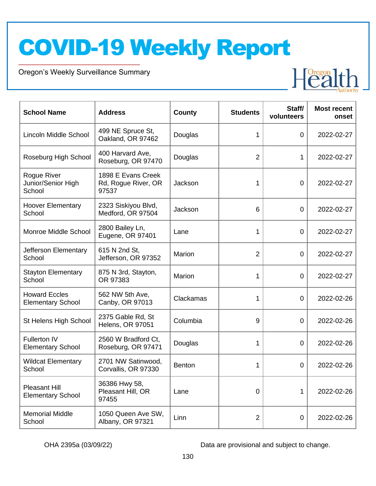Oregon's Weekly Surveillance Summary

Novel Coronavirus (COVID-19)



| <b>School Name</b>                               | <b>Address</b>                                     | County        | <b>Students</b> | Staff/<br>volunteers | <b>Most recent</b><br>onset |
|--------------------------------------------------|----------------------------------------------------|---------------|-----------------|----------------------|-----------------------------|
| Lincoln Middle School                            | 499 NE Spruce St,<br>Oakland, OR 97462             | Douglas       | 1               | 0                    | 2022-02-27                  |
| Roseburg High School                             | 400 Harvard Ave,<br>Roseburg, OR 97470             | Douglas       | $\overline{2}$  | 1                    | 2022-02-27                  |
| Rogue River<br>Junior/Senior High<br>School      | 1898 E Evans Creek<br>Rd, Rogue River, OR<br>97537 | Jackson       | 1               | $\overline{0}$       | 2022-02-27                  |
| <b>Hoover Elementary</b><br>School               | 2323 Siskiyou Blvd,<br>Medford, OR 97504           | Jackson       | 6               | $\overline{0}$       | 2022-02-27                  |
| Monroe Middle School                             | 2800 Bailey Ln,<br>Eugene, OR 97401                | Lane          | 1               | $\overline{0}$       | 2022-02-27                  |
| Jefferson Elementary<br>School                   | 615 N 2nd St,<br>Jefferson, OR 97352               | Marion        | $\overline{2}$  | $\overline{0}$       | 2022-02-27                  |
| <b>Stayton Elementary</b><br>School              | 875 N 3rd, Stayton,<br>OR 97383                    | Marion        | 1               | $\overline{0}$       | 2022-02-27                  |
| <b>Howard Eccles</b><br><b>Elementary School</b> | 562 NW 5th Ave,<br>Canby, OR 97013                 | Clackamas     | 1               | $\overline{0}$       | 2022-02-26                  |
| St Helens High School                            | 2375 Gable Rd, St<br><b>Helens, OR 97051</b>       | Columbia      | 9               | $\overline{0}$       | 2022-02-26                  |
| Fullerton IV<br><b>Elementary School</b>         | 2560 W Bradford Ct,<br>Roseburg, OR 97471          | Douglas       | 1               | 0                    | 2022-02-26                  |
| <b>Wildcat Elementary</b><br>School              | 2701 NW Satinwood,<br>Corvallis, OR 97330          | <b>Benton</b> | 1               | 0                    | 2022-02-26                  |
| <b>Pleasant Hill</b><br><b>Elementary School</b> | 36386 Hwy 58,<br>Pleasant Hill, OR<br>97455        | Lane          | $\overline{0}$  | 1                    | 2022-02-26                  |
| <b>Memorial Middle</b><br>School                 | 1050 Queen Ave SW,<br>Albany, OR 97321             | Linn          | $\overline{2}$  | $\overline{0}$       | 2022-02-26                  |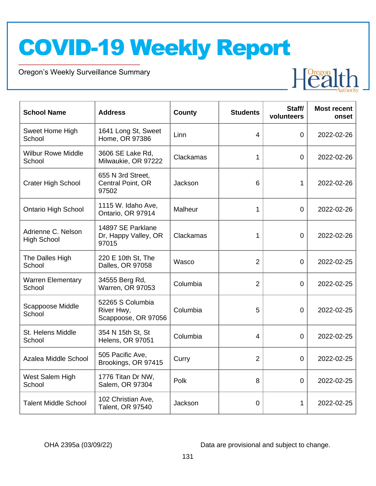Oregon's Weekly Surveillance Summary

Novel Coronavirus (COVID-19)



| <b>School Name</b>                       | <b>Address</b>                                        | County    | <b>Students</b> | Staff/<br>volunteers | <b>Most recent</b><br>onset |
|------------------------------------------|-------------------------------------------------------|-----------|-----------------|----------------------|-----------------------------|
| Sweet Home High<br>School                | 1641 Long St, Sweet<br>Home, OR 97386                 | Linn      | 4               | $\overline{0}$       | 2022-02-26                  |
| <b>Wilbur Rowe Middle</b><br>School      | 3606 SE Lake Rd,<br>Milwaukie, OR 97222               | Clackamas | 1               | $\Omega$             | 2022-02-26                  |
| <b>Crater High School</b>                | 655 N 3rd Street,<br>Central Point, OR<br>97502       | Jackson   | 6               | $\mathbf{1}$         | 2022-02-26                  |
| <b>Ontario High School</b>               | 1115 W. Idaho Ave,<br>Ontario, OR 97914               | Malheur   | 1               | $\overline{0}$       | 2022-02-26                  |
| Adrienne C. Nelson<br><b>High School</b> | 14897 SE Parklane<br>Dr, Happy Valley, OR<br>97015    | Clackamas | 1               | $\overline{0}$       | 2022-02-26                  |
| The Dalles High<br>School                | 220 E 10th St, The<br>Dalles, OR 97058                | Wasco     | $\overline{2}$  | $\overline{0}$       | 2022-02-25                  |
| <b>Warren Elementary</b><br>School       | 34555 Berg Rd,<br>Warren, OR 97053                    | Columbia  | $\overline{2}$  | $\overline{0}$       | 2022-02-25                  |
| Scappoose Middle<br>School               | 52265 S Columbia<br>River Hwy,<br>Scappoose, OR 97056 | Columbia  | 5               | $\overline{0}$       | 2022-02-25                  |
| St. Helens Middle<br>School              | 354 N 15th St, St<br><b>Helens, OR 97051</b>          | Columbia  | 4               | $\overline{0}$       | 2022-02-25                  |
| Azalea Middle School                     | 505 Pacific Ave,<br>Brookings, OR 97415               | Curry     | $\overline{2}$  | $\overline{0}$       | 2022-02-25                  |
| West Salem High<br>School                | 1776 Titan Dr NW,<br>Salem, OR 97304                  | Polk      | 8               | $\overline{0}$       | 2022-02-25                  |
| <b>Talent Middle School</b>              | 102 Christian Ave,<br>Talent, OR 97540                | Jackson   | 0               | 1                    | 2022-02-25                  |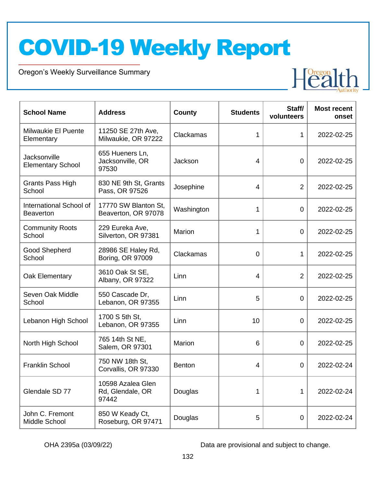Oregon's Weekly Surveillance Summary

Novel Coronavirus (COVID-19)



| <b>School Name</b>                          | <b>Address</b>                                 | County     | <b>Students</b> | Staff/<br>volunteers | <b>Most recent</b><br>onset |
|---------------------------------------------|------------------------------------------------|------------|-----------------|----------------------|-----------------------------|
| Milwaukie El Puente<br>Elementary           | 11250 SE 27th Ave,<br>Milwaukie, OR 97222      | Clackamas  | 1               | 1                    | 2022-02-25                  |
| Jacksonville<br><b>Elementary School</b>    | 655 Hueners Ln,<br>Jacksonville, OR<br>97530   | Jackson    | $\overline{4}$  | $\mathbf 0$          | 2022-02-25                  |
| <b>Grants Pass High</b><br>School           | 830 NE 9th St, Grants<br>Pass, OR 97526        | Josephine  | $\overline{4}$  | $\overline{2}$       | 2022-02-25                  |
| International School of<br><b>Beaverton</b> | 17770 SW Blanton St,<br>Beaverton, OR 97078    | Washington | 1               | $\mathbf 0$          | 2022-02-25                  |
| <b>Community Roots</b><br>School            | 229 Eureka Ave,<br>Silverton, OR 97381         | Marion     | 1               | $\mathbf 0$          | 2022-02-25                  |
| Good Shepherd<br>School                     | 28986 SE Haley Rd,<br>Boring, OR 97009         | Clackamas  | $\overline{0}$  | 1                    | 2022-02-25                  |
| Oak Elementary                              | 3610 Oak St SE,<br>Albany, OR 97322            | Linn       | $\overline{4}$  | 2                    | 2022-02-25                  |
| Seven Oak Middle<br>School                  | 550 Cascade Dr,<br>Lebanon, OR 97355           | Linn       | 5               | $\overline{0}$       | 2022-02-25                  |
| Lebanon High School                         | 1700 S 5th St,<br>Lebanon, OR 97355            | Linn       | 10              | $\overline{0}$       | 2022-02-25                  |
| North High School                           | 765 14th St NE,<br>Salem, OR 97301             | Marion     | 6               | 0                    | 2022-02-25                  |
| <b>Franklin School</b>                      | 750 NW 18th St.<br>Corvallis, OR 97330         | Benton     | 4               | $\overline{0}$       | 2022-02-24                  |
| Glendale SD 77                              | 10598 Azalea Glen<br>Rd, Glendale, OR<br>97442 | Douglas    | 1               | 1                    | 2022-02-24                  |
| John C. Fremont<br>Middle School            | 850 W Keady Ct,<br>Roseburg, OR 97471          | Douglas    | 5               | $\mathbf 0$          | 2022-02-24                  |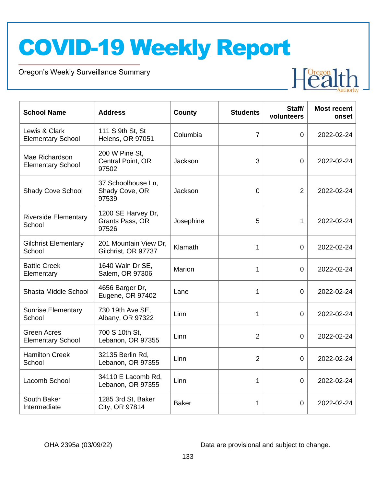Oregon's Weekly Surveillance Summary

Novel Coronavirus (COVID-19)



| <b>School Name</b>                             | <b>Address</b>                                 | County       | <b>Students</b> | Staff/<br>volunteers | <b>Most recent</b><br>onset |
|------------------------------------------------|------------------------------------------------|--------------|-----------------|----------------------|-----------------------------|
| Lewis & Clark<br><b>Elementary School</b>      | 111 S 9th St, St<br><b>Helens, OR 97051</b>    | Columbia     | $\overline{7}$  | $\overline{0}$       | 2022-02-24                  |
| Mae Richardson<br><b>Elementary School</b>     | 200 W Pine St,<br>Central Point, OR<br>97502   | Jackson      | 3               | $\overline{0}$       | 2022-02-24                  |
| <b>Shady Cove School</b>                       | 37 Schoolhouse Ln,<br>Shady Cove, OR<br>97539  | Jackson      | 0               | $\overline{2}$       | 2022-02-24                  |
| <b>Riverside Elementary</b><br>School          | 1200 SE Harvey Dr,<br>Grants Pass, OR<br>97526 | Josephine    | 5               | 1                    | 2022-02-24                  |
| <b>Gilchrist Elementary</b><br>School          | 201 Mountain View Dr,<br>Gilchrist, OR 97737   | Klamath      | 1               | $\Omega$             | 2022-02-24                  |
| <b>Battle Creek</b><br>Elementary              | 1640 Waln Dr SE,<br>Salem, OR 97306            | Marion       | 1               | $\overline{0}$       | 2022-02-24                  |
| Shasta Middle School                           | 4656 Barger Dr,<br>Eugene, OR 97402            | Lane         | 1               | $\overline{0}$       | 2022-02-24                  |
| <b>Sunrise Elementary</b><br>School            | 730 19th Ave SE,<br>Albany, OR 97322           | Linn         | 1               | $\overline{0}$       | 2022-02-24                  |
| <b>Green Acres</b><br><b>Elementary School</b> | 700 S 10th St.<br>Lebanon, OR 97355            | Linn         | $\overline{2}$  | $\overline{0}$       | 2022-02-24                  |
| <b>Hamilton Creek</b><br>School                | 32135 Berlin Rd,<br>Lebanon, OR 97355          | Linn         | $\overline{2}$  | $\overline{0}$       | 2022-02-24                  |
| Lacomb School                                  | 34110 E Lacomb Rd,<br>Lebanon, OR 97355        | Linn         | 1               | $\overline{0}$       | 2022-02-24                  |
| South Baker<br>Intermediate                    | 1285 3rd St, Baker<br>City, OR 97814           | <b>Baker</b> | 1               | 0                    | 2022-02-24                  |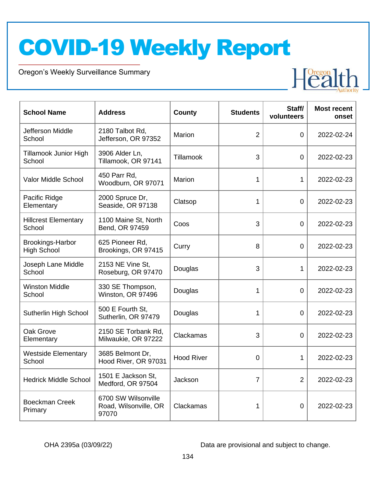Oregon's Weekly Surveillance Summary

Novel Coronavirus (COVID-19)



| <b>School Name</b>                            | <b>Address</b>                                        | <b>County</b>     | <b>Students</b> | Staff/<br>volunteers | <b>Most recent</b><br>onset |
|-----------------------------------------------|-------------------------------------------------------|-------------------|-----------------|----------------------|-----------------------------|
| Jefferson Middle<br>School                    | 2180 Talbot Rd,<br>Jefferson, OR 97352                | Marion            | $\overline{2}$  | $\overline{0}$       | 2022-02-24                  |
| Tillamook Junior High<br>School               | 3906 Alder Ln,<br>Tillamook, OR 97141                 | Tillamook         | 3               | 0                    | 2022-02-23                  |
| Valor Middle School                           | 450 Parr Rd,<br>Woodburn, OR 97071                    | Marion            | 1               | 1                    | 2022-02-23                  |
| Pacific Ridge<br>Elementary                   | 2000 Spruce Dr,<br>Seaside, OR 97138                  | Clatsop           | 1               | $\mathbf 0$          | 2022-02-23                  |
| <b>Hillcrest Elementary</b><br>School         | 1100 Maine St, North<br>Bend, OR 97459                | Coos              | 3               | 0                    | 2022-02-23                  |
| <b>Brookings-Harbor</b><br><b>High School</b> | 625 Pioneer Rd,<br>Brookings, OR 97415                | Curry             | 8               | 0                    | 2022-02-23                  |
| Joseph Lane Middle<br>School                  | 2153 NE Vine St.<br>Roseburg, OR 97470                | Douglas           | 3               | 1                    | 2022-02-23                  |
| <b>Winston Middle</b><br>School               | 330 SE Thompson,<br>Winston, OR 97496                 | Douglas           | 1               | $\Omega$             | 2022-02-23                  |
| Sutherlin High School                         | 500 E Fourth St,<br>Sutherlin, OR 97479               | Douglas           | 1               | $\overline{0}$       | 2022-02-23                  |
| Oak Grove<br>Elementary                       | 2150 SE Torbank Rd,<br>Milwaukie, OR 97222            | Clackamas         | 3               | $\overline{0}$       | 2022-02-23                  |
| <b>Westside Elementary</b><br>School          | 3685 Belmont Dr,<br>Hood River, OR 97031              | <b>Hood River</b> | 0               | $\mathbf{1}$         | 2022-02-23                  |
| <b>Hedrick Middle School</b>                  | 1501 E Jackson St,<br>Medford, OR 97504               | Jackson           | $\overline{7}$  | $\overline{2}$       | 2022-02-23                  |
| <b>Boeckman Creek</b><br>Primary              | 6700 SW Wilsonville<br>Road, Wilsonville, OR<br>97070 | Clackamas         | 1               | $\overline{0}$       | 2022-02-23                  |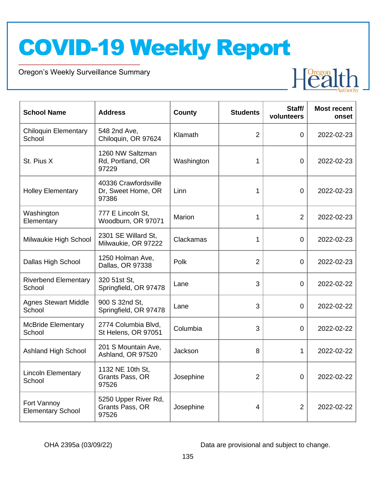Oregon's Weekly Surveillance Summary

Novel Coronavirus (COVID-19)



| <b>School Name</b>                      | <b>Address</b>                                      | <b>County</b> | <b>Students</b> | Staff/<br>volunteers | <b>Most recent</b><br>onset |
|-----------------------------------------|-----------------------------------------------------|---------------|-----------------|----------------------|-----------------------------|
| <b>Chiloquin Elementary</b><br>School   | 548 2nd Ave,<br>Chiloquin, OR 97624                 | Klamath       | $\overline{2}$  | $\mathbf 0$          | 2022-02-23                  |
| St. Pius X                              | 1260 NW Saltzman<br>Rd, Portland, OR<br>97229       | Washington    | 1               | $\mathbf 0$          | 2022-02-23                  |
| <b>Holley Elementary</b>                | 40336 Crawfordsville<br>Dr, Sweet Home, OR<br>97386 | Linn          | 1               | $\mathbf 0$          | 2022-02-23                  |
| Washington<br>Elementary                | 777 E Lincoln St,<br>Woodburn, OR 97071             | Marion        | 1               | $\overline{2}$       | 2022-02-23                  |
| Milwaukie High School                   | 2301 SE Willard St,<br>Milwaukie, OR 97222          | Clackamas     | 1               | $\mathbf 0$          | 2022-02-23                  |
| Dallas High School                      | 1250 Holman Ave,<br>Dallas, OR 97338                | Polk          | $\overline{2}$  | $\mathbf 0$          | 2022-02-23                  |
| <b>Riverbend Elementary</b><br>School   | 320 51st St,<br>Springfield, OR 97478               | Lane          | 3               | $\mathbf 0$          | 2022-02-22                  |
| <b>Agnes Stewart Middle</b><br>School   | 900 S 32nd St,<br>Springfield, OR 97478             | Lane          | 3               | $\mathbf 0$          | 2022-02-22                  |
| <b>McBride Elementary</b><br>School     | 2774 Columbia Blvd,<br>St Helens, OR 97051          | Columbia      | 3               | $\overline{0}$       | 2022-02-22                  |
| <b>Ashland High School</b>              | 201 S Mountain Ave,<br>Ashland, OR 97520            | Jackson       | 8               | 1                    | 2022-02-22                  |
| <b>Lincoln Elementary</b><br>School     | 1132 NE 10th St,<br>Grants Pass, OR<br>97526        | Josephine     | $\overline{2}$  | 0                    | 2022-02-22                  |
| Fort Vannoy<br><b>Elementary School</b> | 5250 Upper River Rd,<br>Grants Pass, OR<br>97526    | Josephine     | 4               | $\overline{2}$       | 2022-02-22                  |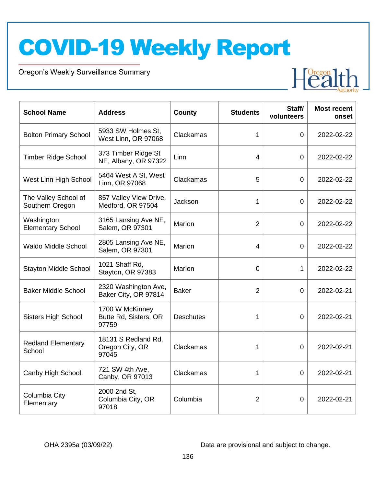Oregon's Weekly Surveillance Summary

Novel Coronavirus (COVID-19)



| <b>School Name</b>                      | <b>Address</b>                                    | County           | <b>Students</b> | Staff/<br>volunteers | <b>Most recent</b><br>onset |
|-----------------------------------------|---------------------------------------------------|------------------|-----------------|----------------------|-----------------------------|
| <b>Bolton Primary School</b>            | 5933 SW Holmes St,<br>West Linn, OR 97068         | Clackamas        | 1               | 0                    | 2022-02-22                  |
| <b>Timber Ridge School</b>              | 373 Timber Ridge St<br>NE, Albany, OR 97322       | Linn             | 4               | 0                    | 2022-02-22                  |
| West Linn High School                   | 5464 West A St, West<br>Linn, OR 97068            | Clackamas        | 5               | $\overline{0}$       | 2022-02-22                  |
| The Valley School of<br>Southern Oregon | 857 Valley View Drive,<br>Medford, OR 97504       | Jackson          | 1               | $\overline{0}$       | 2022-02-22                  |
| Washington<br><b>Elementary School</b>  | 3165 Lansing Ave NE,<br>Salem, OR 97301           | Marion           | $\overline{2}$  | $\overline{0}$       | 2022-02-22                  |
| <b>Waldo Middle School</b>              | 2805 Lansing Ave NE,<br>Salem, OR 97301           | Marion           | $\overline{4}$  | 0                    | 2022-02-22                  |
| <b>Stayton Middle School</b>            | 1021 Shaff Rd,<br>Stayton, OR 97383               | Marion           | 0               | 1                    | 2022-02-22                  |
| <b>Baker Middle School</b>              | 2320 Washington Ave,<br>Baker City, OR 97814      | <b>Baker</b>     | $\overline{2}$  | 0                    | 2022-02-21                  |
| <b>Sisters High School</b>              | 1700 W McKinney<br>Butte Rd, Sisters, OR<br>97759 | <b>Deschutes</b> | 1               | $\overline{0}$       | 2022-02-21                  |
| <b>Redland Elementary</b><br>School     | 18131 S Redland Rd,<br>Oregon City, OR<br>97045   | Clackamas        | 1               | $\overline{0}$       | 2022-02-21                  |
| Canby High School                       | 721 SW 4th Ave,<br>Canby, OR 97013                | Clackamas        | 1               | $\overline{0}$       | 2022-02-21                  |
| Columbia City<br>Elementary             | 2000 2nd St.<br>Columbia City, OR<br>97018        | Columbia         | $\overline{2}$  | $\overline{0}$       | 2022-02-21                  |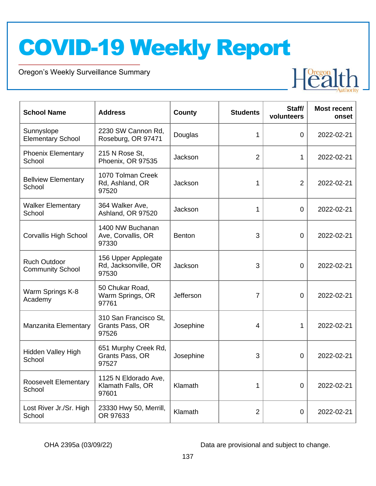Oregon's Weekly Surveillance Summary

Novel Coronavirus (COVID-19)



| <b>School Name</b>                             | <b>Address</b>                                       | County        | <b>Students</b> | Staff/<br>volunteers | <b>Most recent</b><br>onset |
|------------------------------------------------|------------------------------------------------------|---------------|-----------------|----------------------|-----------------------------|
| Sunnyslope<br><b>Elementary School</b>         | 2230 SW Cannon Rd,<br>Roseburg, OR 97471             | Douglas       | 1               | 0                    | 2022-02-21                  |
| <b>Phoenix Elementary</b><br>School            | 215 N Rose St,<br>Phoenix, OR 97535                  | Jackson       | $\overline{2}$  | 1                    | 2022-02-21                  |
| <b>Bellview Elementary</b><br>School           | 1070 Tolman Creek<br>Rd, Ashland, OR<br>97520        | Jackson       | 1               | $\overline{2}$       | 2022-02-21                  |
| <b>Walker Elementary</b><br>School             | 364 Walker Ave,<br>Ashland, OR 97520                 | Jackson       | 1               | $\overline{0}$       | 2022-02-21                  |
| <b>Corvallis High School</b>                   | 1400 NW Buchanan<br>Ave, Corvallis, OR<br>97330      | <b>Benton</b> | 3               | $\overline{0}$       | 2022-02-21                  |
| <b>Ruch Outdoor</b><br><b>Community School</b> | 156 Upper Applegate<br>Rd, Jacksonville, OR<br>97530 | Jackson       | 3               | 0                    | 2022-02-21                  |
| Warm Springs K-8<br>Academy                    | 50 Chukar Road,<br>Warm Springs, OR<br>97761         | Jefferson     | 7               | 0                    | 2022-02-21                  |
| <b>Manzanita Elementary</b>                    | 310 San Francisco St,<br>Grants Pass, OR<br>97526    | Josephine     | 4               | 1                    | 2022-02-21                  |
| Hidden Valley High<br>School                   | 651 Murphy Creek Rd,<br>Grants Pass, OR<br>97527     | Josephine     | 3               | 0                    | 2022-02-21                  |
| <b>Roosevelt Elementary</b><br>School          | 1125 N Eldorado Ave,<br>Klamath Falls, OR<br>97601   | Klamath       | 1               | $\mathbf 0$          | 2022-02-21                  |
| Lost River Jr./Sr. High<br>School              | 23330 Hwy 50, Merrill,<br>OR 97633                   | Klamath       | $\overline{2}$  | 0                    | 2022-02-21                  |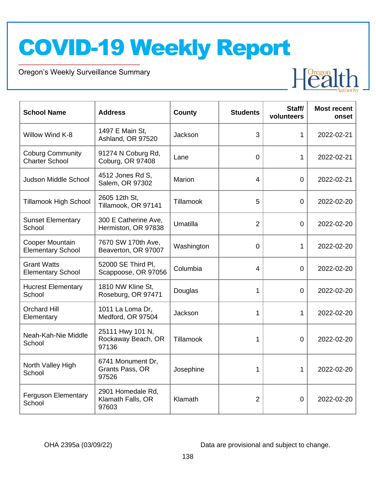Oregon's Weekly Surveillance Summary

Novel Coronavirus (COVID-19)



| <b>School Name</b>                               | <b>Address</b>                                  | County     | <b>Students</b> | Staff/<br>volunteers | <b>Most recent</b><br>onset |
|--------------------------------------------------|-------------------------------------------------|------------|-----------------|----------------------|-----------------------------|
| Willow Wind K-8                                  | 1497 E Main St,<br>Ashland, OR 97520            | Jackson    | 3               | 1                    | 2022-02-21                  |
| <b>Coburg Community</b><br><b>Charter School</b> | 91274 N Coburg Rd,<br>Coburg, OR 97408          | Lane       | 0               | 1                    | 2022-02-21                  |
| Judson Middle School                             | 4512 Jones Rd S,<br>Salem, OR 97302             | Marion     | 4               | $\overline{0}$       | 2022-02-21                  |
| <b>Tillamook High School</b>                     | 2605 12th St.<br>Tillamook, OR 97141            | Tillamook  | 5               | $\overline{0}$       | 2022-02-20                  |
| <b>Sunset Elementary</b><br>School               | 300 E Catherine Ave,<br>Hermiston, OR 97838     | Umatilla   | $\overline{2}$  | $\overline{0}$       | 2022-02-20                  |
| Cooper Mountain<br><b>Elementary School</b>      | 7670 SW 170th Ave,<br>Beaverton, OR 97007       | Washington | $\overline{0}$  | $\mathbf{1}$         | 2022-02-20                  |
| <b>Grant Watts</b><br><b>Elementary School</b>   | 52000 SE Third PI,<br>Scappoose, OR 97056       | Columbia   | 4               | $\overline{0}$       | 2022-02-20                  |
| <b>Hucrest Elementary</b><br>School              | 1810 NW Kline St,<br>Roseburg, OR 97471         | Douglas    | 1               | $\overline{0}$       | 2022-02-20                  |
| <b>Orchard Hill</b><br>Elementary                | 1011 La Loma Dr,<br>Medford, OR 97504           | Jackson    | 1               | $\mathbf{1}$         | 2022-02-20                  |
| Neah-Kah-Nie Middle<br>School                    | 25111 Hwy 101 N,<br>Rockaway Beach, OR<br>97136 | Tillamook  | 1               | 0                    | 2022-02-20                  |
| North Valley High<br>School                      | 6741 Monument Dr,<br>Grants Pass, OR<br>97526   | Josephine  | 1               | 1                    | 2022-02-20                  |
| <b>Ferguson Elementary</b><br>School             | 2901 Homedale Rd,<br>Klamath Falls, OR<br>97603 | Klamath    | $\overline{2}$  | $\overline{0}$       | 2022-02-20                  |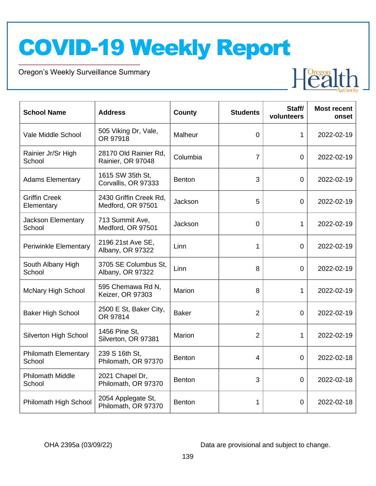Oregon's Weekly Surveillance Summary

Novel Coronavirus (COVID-19)



| <b>School Name</b>                    | <b>Address</b>                              | <b>County</b> | <b>Students</b> | Staff/<br>volunteers | <b>Most recent</b><br>onset |
|---------------------------------------|---------------------------------------------|---------------|-----------------|----------------------|-----------------------------|
| Vale Middle School                    | 505 Viking Dr, Vale,<br>OR 97918            | Malheur       | $\overline{0}$  | $\mathbf{1}$         | 2022-02-19                  |
| Rainier Jr/Sr High<br>School          | 28170 Old Rainier Rd,<br>Rainier, OR 97048  | Columbia      | $\overline{7}$  | $\overline{0}$       | 2022-02-19                  |
| <b>Adams Elementary</b>               | 1615 SW 35th St.<br>Corvallis, OR 97333     | <b>Benton</b> | 3               | $\overline{0}$       | 2022-02-19                  |
| <b>Griffin Creek</b><br>Elementary    | 2430 Griffin Creek Rd,<br>Medford, OR 97501 | Jackson       | 5               | $\overline{0}$       | 2022-02-19                  |
| <b>Jackson Elementary</b><br>School   | 713 Summit Ave,<br>Medford, OR 97501        | Jackson       | $\overline{0}$  | $\mathbf{1}$         | 2022-02-19                  |
| <b>Periwinkle Elementary</b>          | 2196 21st Ave SE,<br>Albany, OR 97322       | Linn          | 1               | $\Omega$             | 2022-02-19                  |
| South Albany High<br>School           | 3705 SE Columbus St.<br>Albany, OR 97322    | Linn          | 8               | $\overline{0}$       | 2022-02-19                  |
| <b>McNary High School</b>             | 595 Chemawa Rd N,<br>Keizer, OR 97303       | Marion        | 8               | 1                    | 2022-02-19                  |
| <b>Baker High School</b>              | 2500 E St, Baker City,<br>OR 97814          | <b>Baker</b>  | $\overline{2}$  | $\overline{0}$       | 2022-02-19                  |
| Silverton High School                 | 1456 Pine St,<br>Silverton, OR 97381        | Marion        | $\overline{2}$  | 1                    | 2022-02-19                  |
| <b>Philomath Elementary</b><br>School | 239 S 16th St.<br>Philomath, OR 97370       | <b>Benton</b> | $\overline{4}$  | $\overline{0}$       | 2022-02-18                  |
| <b>Philomath Middle</b><br>School     | 2021 Chapel Dr,<br>Philomath, OR 97370      | <b>Benton</b> | 3               | $\overline{0}$       | 2022-02-18                  |
| Philomath High School                 | 2054 Applegate St,<br>Philomath, OR 97370   | <b>Benton</b> | 1               | 0                    | 2022-02-18                  |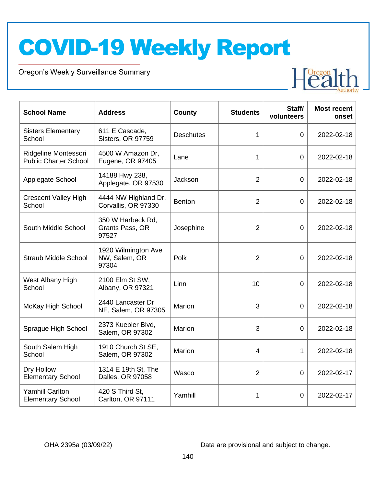Oregon's Weekly Surveillance Summary

Novel Coronavirus (COVID-19)



| <b>School Name</b>                                   | <b>Address</b>                                | County           | <b>Students</b> | Staff/<br>volunteers | <b>Most recent</b><br>onset |
|------------------------------------------------------|-----------------------------------------------|------------------|-----------------|----------------------|-----------------------------|
| <b>Sisters Elementary</b><br>School                  | 611 E Cascade,<br>Sisters, OR 97759           | <b>Deschutes</b> | 1               | $\overline{0}$       | 2022-02-18                  |
| Ridgeline Montessori<br><b>Public Charter School</b> | 4500 W Amazon Dr,<br>Eugene, OR 97405         | Lane             | 1               | $\overline{0}$       | 2022-02-18                  |
| Applegate School                                     | 14188 Hwy 238,<br>Applegate, OR 97530         | Jackson          | $\overline{2}$  | $\overline{0}$       | 2022-02-18                  |
| <b>Crescent Valley High</b><br>School                | 4444 NW Highland Dr,<br>Corvallis, OR 97330   | <b>Benton</b>    | $\overline{2}$  | $\overline{0}$       | 2022-02-18                  |
| South Middle School                                  | 350 W Harbeck Rd,<br>Grants Pass, OR<br>97527 | Josephine        | $\overline{2}$  | 0                    | 2022-02-18                  |
| <b>Straub Middle School</b>                          | 1920 Wilmington Ave<br>NW, Salem, OR<br>97304 | Polk             | $\overline{2}$  | $\overline{0}$       | 2022-02-18                  |
| West Albany High<br>School                           | 2100 Elm St SW,<br>Albany, OR 97321           | Linn             | 10              | $\overline{0}$       | 2022-02-18                  |
| McKay High School                                    | 2440 Lancaster Dr<br>NE, Salem, OR 97305      | Marion           | 3               | $\mathbf 0$          | 2022-02-18                  |
| Sprague High School                                  | 2373 Kuebler Blvd,<br>Salem, OR 97302         | Marion           | 3               | $\mathbf 0$          | 2022-02-18                  |
| South Salem High<br>School                           | 1910 Church St SE,<br>Salem, OR 97302         | Marion           | 4               | $\mathbf{1}$         | 2022-02-18                  |
| Dry Hollow<br><b>Elementary School</b>               | 1314 E 19th St, The<br>Dalles, OR 97058       | Wasco            | $\overline{2}$  | 0                    | 2022-02-17                  |
| <b>Yamhill Carlton</b><br><b>Elementary School</b>   | 420 S Third St,<br>Carlton, OR 97111          | Yamhill          | 1               | $\overline{0}$       | 2022-02-17                  |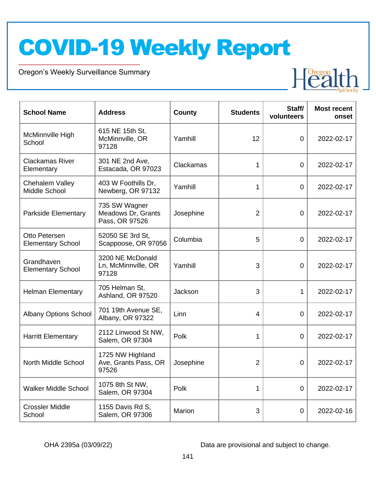Oregon's Weekly Surveillance Summary

Novel Coronavirus (COVID-19)



| <b>School Name</b>                        | <b>Address</b>                                        | County    | <b>Students</b> | Staff/<br>volunteers | <b>Most recent</b><br>onset |
|-------------------------------------------|-------------------------------------------------------|-----------|-----------------|----------------------|-----------------------------|
| McMinnville High<br>School                | 615 NE 15th St,<br>McMinnville, OR<br>97128           | Yamhill   | 12              | $\overline{0}$       | 2022-02-17                  |
| <b>Clackamas River</b><br>Elementary      | 301 NE 2nd Ave,<br>Estacada, OR 97023                 | Clackamas | 1               | $\overline{0}$       | 2022-02-17                  |
| Chehalem Valley<br>Middle School          | 403 W Foothills Dr,<br>Newberg, OR 97132              | Yamhill   | 1               | $\overline{0}$       | 2022-02-17                  |
| Parkside Elementary                       | 735 SW Wagner<br>Meadows Dr, Grants<br>Pass, OR 97526 | Josephine | $\overline{2}$  | $\mathbf 0$          | 2022-02-17                  |
| Otto Petersen<br><b>Elementary School</b> | 52050 SE 3rd St,<br>Scappoose, OR 97056               | Columbia  | 5               | $\overline{0}$       | 2022-02-17                  |
| Grandhaven<br><b>Elementary School</b>    | 3200 NE McDonald<br>Ln, McMinnville, OR<br>97128      | Yamhill   | 3               | $\overline{0}$       | 2022-02-17                  |
| <b>Helman Elementary</b>                  | 705 Helman St,<br>Ashland, OR 97520                   | Jackson   | 3               | $\mathbf{1}$         | 2022-02-17                  |
| <b>Albany Options School</b>              | 701 19th Avenue SE,<br>Albany, OR 97322               | Linn      | $\overline{4}$  | $\overline{0}$       | 2022-02-17                  |
| <b>Harritt Elementary</b>                 | 2112 Linwood St NW,<br>Salem, OR 97304                | Polk      | 1               | 0                    | 2022-02-17                  |
| North Middle School                       | 1725 NW Highland<br>Ave, Grants Pass, OR<br>97526     | Josephine | $\overline{2}$  | $\overline{0}$       | 2022-02-17                  |
| <b>Walker Middle School</b>               | 1075 8th St NW,<br>Salem, OR 97304                    | Polk      | 1               | $\mathbf 0$          | 2022-02-17                  |
| <b>Crossler Middle</b><br>School          | 1155 Davis Rd S,<br>Salem, OR 97306                   | Marion    | 3               | $\mathbf 0$          | 2022-02-16                  |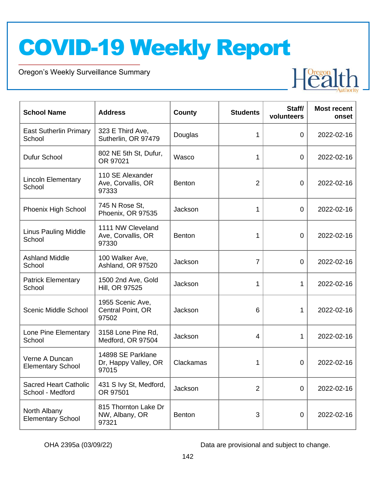Oregon's Weekly Surveillance Summary

Novel Coronavirus (COVID-19)



| <b>School Name</b>                               | <b>Address</b>                                     | <b>County</b> | <b>Students</b> | Staff/<br>volunteers | <b>Most recent</b><br>onset |
|--------------------------------------------------|----------------------------------------------------|---------------|-----------------|----------------------|-----------------------------|
| <b>East Sutherlin Primary</b><br>School          | 323 E Third Ave,<br>Sutherlin, OR 97479            | Douglas       | 1               | 0                    | 2022-02-16                  |
| Dufur School                                     | 802 NE 5th St, Dufur,<br>OR 97021                  | Wasco         | 1               | 0                    | 2022-02-16                  |
| <b>Lincoln Elementary</b><br>School              | 110 SE Alexander<br>Ave, Corvallis, OR<br>97333    | <b>Benton</b> | $\overline{2}$  | $\overline{0}$       | 2022-02-16                  |
| Phoenix High School                              | 745 N Rose St,<br>Phoenix, OR 97535                | Jackson       | 1               | 0                    | 2022-02-16                  |
| <b>Linus Pauling Middle</b><br>School            | 1111 NW Cleveland<br>Ave, Corvallis, OR<br>97330   | <b>Benton</b> | 1               | $\overline{0}$       | 2022-02-16                  |
| <b>Ashland Middle</b><br>School                  | 100 Walker Ave,<br>Ashland, OR 97520               | Jackson       | $\overline{7}$  | $\overline{0}$       | 2022-02-16                  |
| <b>Patrick Elementary</b><br>School              | 1500 2nd Ave, Gold<br>Hill, OR 97525               | Jackson       | 1               | 1                    | 2022-02-16                  |
| <b>Scenic Middle School</b>                      | 1955 Scenic Ave,<br>Central Point, OR<br>97502     | Jackson       | 6               | 1                    | 2022-02-16                  |
| Lone Pine Elementary<br>School                   | 3158 Lone Pine Rd,<br>Medford, OR 97504            | Jackson       | 4               | 1                    | 2022-02-16                  |
| Verne A Duncan<br><b>Elementary School</b>       | 14898 SE Parklane<br>Dr, Happy Valley, OR<br>97015 | Clackamas     | 1               | 0                    | 2022-02-16                  |
| <b>Sacred Heart Catholic</b><br>School - Medford | 431 S Ivy St, Medford,<br>OR 97501                 | Jackson       | $\overline{2}$  | 0                    | 2022-02-16                  |
| North Albany<br><b>Elementary School</b>         | 815 Thornton Lake Dr<br>NW, Albany, OR<br>97321    | <b>Benton</b> | 3               | 0                    | 2022-02-16                  |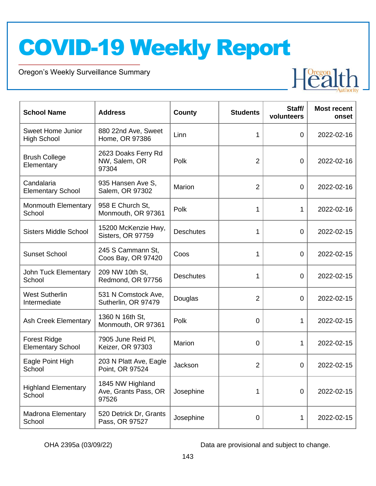Oregon's Weekly Surveillance Summary

Novel Coronavirus (COVID-19)



| <b>School Name</b>                              | <b>Address</b>                                    | <b>County</b>    | <b>Students</b> | Staff/<br>volunteers | <b>Most recent</b><br>onset |
|-------------------------------------------------|---------------------------------------------------|------------------|-----------------|----------------------|-----------------------------|
| <b>Sweet Home Junior</b><br><b>High School</b>  | 880 22nd Ave, Sweet<br>Home, OR 97386             | Linn             | 1               | $\overline{0}$       | 2022-02-16                  |
| <b>Brush College</b><br>Elementary              | 2623 Doaks Ferry Rd<br>NW, Salem, OR<br>97304     | Polk             | $\overline{2}$  | $\mathbf 0$          | 2022-02-16                  |
| Candalaria<br><b>Elementary School</b>          | 935 Hansen Ave S,<br>Salem, OR 97302              | Marion           | $\overline{2}$  | $\mathbf 0$          | 2022-02-16                  |
| <b>Monmouth Elementary</b><br>School            | 958 E Church St,<br>Monmouth, OR 97361            | Polk             | 1               | 1                    | 2022-02-16                  |
| <b>Sisters Middle School</b>                    | 15200 McKenzie Hwy,<br>Sisters, OR 97759          | <b>Deschutes</b> | 1               | $\mathbf 0$          | 2022-02-15                  |
| <b>Sunset School</b>                            | 245 S Cammann St,<br>Coos Bay, OR 97420           | Coos             | 1               | 0                    | 2022-02-15                  |
| John Tuck Elementary<br>School                  | 209 NW 10th St,<br>Redmond, OR 97756              | <b>Deschutes</b> | 1               | $\mathbf 0$          | 2022-02-15                  |
| <b>West Sutherlin</b><br>Intermediate           | 531 N Comstock Ave,<br>Sutherlin, OR 97479        | Douglas          | $\overline{2}$  | $\mathbf 0$          | 2022-02-15                  |
| Ash Creek Elementary                            | 1360 N 16th St,<br>Monmouth, OR 97361             | Polk             | $\overline{0}$  | 1                    | 2022-02-15                  |
| <b>Forest Ridge</b><br><b>Elementary School</b> | 7905 June Reid Pl,<br>Keizer, OR 97303            | Marion           | $\overline{0}$  | 1                    | 2022-02-15                  |
| Eagle Point High<br>School                      | 203 N Platt Ave, Eagle<br>Point, OR 97524         | Jackson          | $\overline{2}$  | 0                    | 2022-02-15                  |
| <b>Highland Elementary</b><br>School            | 1845 NW Highland<br>Ave, Grants Pass, OR<br>97526 | Josephine        | 1               | $\mathbf 0$          | 2022-02-15                  |
| <b>Madrona Elementary</b><br>School             | 520 Detrick Dr, Grants<br>Pass, OR 97527          | Josephine        | 0               | 1                    | 2022-02-15                  |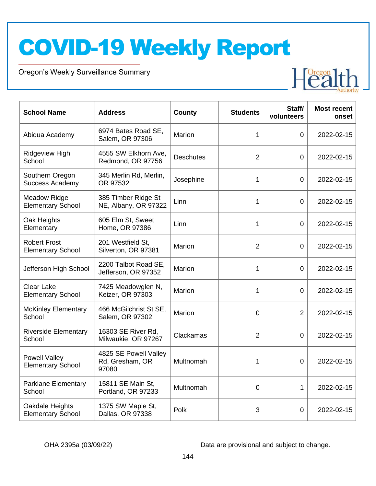Oregon's Weekly Surveillance Summary

Novel Coronavirus (COVID-19)



| <b>School Name</b>                               | <b>Address</b>                                    | County           | <b>Students</b> | Staff/<br>volunteers | <b>Most recent</b><br>onset |
|--------------------------------------------------|---------------------------------------------------|------------------|-----------------|----------------------|-----------------------------|
| Abiqua Academy                                   | 6974 Bates Road SE,<br>Salem, OR 97306            | Marion           | 1               | $\mathbf 0$          | 2022-02-15                  |
| <b>Ridgeview High</b><br>School                  | 4555 SW Elkhorn Ave,<br>Redmond, OR 97756         | <b>Deschutes</b> | $\overline{2}$  | $\overline{0}$       | 2022-02-15                  |
| Southern Oregon<br><b>Success Academy</b>        | 345 Merlin Rd, Merlin,<br>OR 97532                | Josephine        | 1               | $\overline{0}$       | 2022-02-15                  |
| <b>Meadow Ridge</b><br><b>Elementary School</b>  | 385 Timber Ridge St<br>NE, Albany, OR 97322       | Linn             | $\mathbf{1}$    | $\mathbf 0$          | 2022-02-15                  |
| Oak Heights<br>Elementary                        | 605 Elm St, Sweet<br>Home, OR 97386               | Linn             | 1               | 0                    | 2022-02-15                  |
| <b>Robert Frost</b><br><b>Elementary School</b>  | 201 Westfield St.<br>Silverton, OR 97381          | Marion           | $\overline{2}$  | $\mathbf 0$          | 2022-02-15                  |
| Jefferson High School                            | 2200 Talbot Road SE,<br>Jefferson, OR 97352       | Marion           | 1               | $\overline{0}$       | 2022-02-15                  |
| <b>Clear Lake</b><br><b>Elementary School</b>    | 7425 Meadowglen N,<br>Keizer, OR 97303            | Marion           | 1               | 0                    | 2022-02-15                  |
| <b>McKinley Elementary</b><br>School             | 466 McGilchrist St SE,<br>Salem, OR 97302         | Marion           | $\overline{0}$  | $\overline{2}$       | 2022-02-15                  |
| <b>Riverside Elementary</b><br>School            | 16303 SE River Rd,<br>Milwaukie, OR 97267         | Clackamas        | $\overline{2}$  | 0                    | 2022-02-15                  |
| <b>Powell Valley</b><br><b>Elementary School</b> | 4825 SE Powell Valley<br>Rd, Gresham, OR<br>97080 | Multnomah        | 1               | 0                    | 2022-02-15                  |
| <b>Parklane Elementary</b><br>School             | 15811 SE Main St,<br>Portland, OR 97233           | Multnomah        | $\Omega$        | $\mathbf{1}$         | 2022-02-15                  |
| Oakdale Heights<br><b>Elementary School</b>      | 1375 SW Maple St,<br>Dallas, OR 97338             | Polk             | 3               | $\mathbf 0$          | 2022-02-15                  |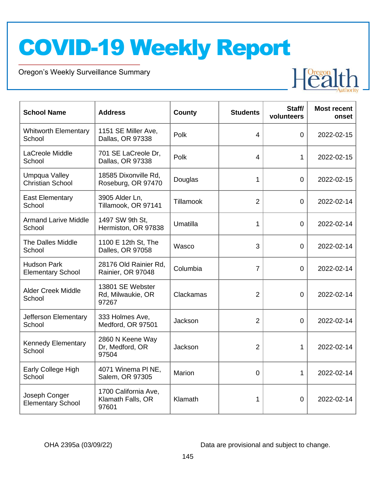Oregon's Weekly Surveillance Summary

Novel Coronavirus (COVID-19)



| <b>School Name</b>                             | <b>Address</b>                                     | County    | <b>Students</b> | Staff/<br>volunteers | <b>Most recent</b><br>onset |
|------------------------------------------------|----------------------------------------------------|-----------|-----------------|----------------------|-----------------------------|
| <b>Whitworth Elementary</b><br>School          | 1151 SE Miller Ave,<br>Dallas, OR 97338            | Polk      | 4               | $\overline{0}$       | 2022-02-15                  |
| LaCreole Middle<br>School                      | 701 SE LaCreole Dr,<br>Dallas, OR 97338            | Polk      | 4               | 1                    | 2022-02-15                  |
| Umpqua Valley<br><b>Christian School</b>       | 18585 Dixonville Rd,<br>Roseburg, OR 97470         | Douglas   | 1               | $\overline{0}$       | 2022-02-15                  |
| <b>East Elementary</b><br>School               | 3905 Alder Ln,<br>Tillamook, OR 97141              | Tillamook | $\overline{2}$  | $\overline{0}$       | 2022-02-14                  |
| <b>Armand Larive Middle</b><br>School          | 1497 SW 9th St,<br>Hermiston, OR 97838             | Umatilla  | 1               | $\overline{0}$       | 2022-02-14                  |
| The Dalles Middle<br>School                    | 1100 E 12th St, The<br>Dalles, OR 97058            | Wasco     | 3               | $\overline{0}$       | 2022-02-14                  |
| <b>Hudson Park</b><br><b>Elementary School</b> | 28176 Old Rainier Rd,<br>Rainier, OR 97048         | Columbia  | $\overline{7}$  | $\mathbf 0$          | 2022-02-14                  |
| <b>Alder Creek Middle</b><br>School            | 13801 SE Webster<br>Rd, Milwaukie, OR<br>97267     | Clackamas | $\overline{2}$  | $\overline{0}$       | 2022-02-14                  |
| Jefferson Elementary<br>School                 | 333 Holmes Ave,<br>Medford, OR 97501               | Jackson   | $\overline{2}$  | $\overline{0}$       | 2022-02-14                  |
| <b>Kennedy Elementary</b><br>School            | 2860 N Keene Way<br>Dr, Medford, OR<br>97504       | Jackson   | $\overline{2}$  | 1                    | 2022-02-14                  |
| Early College High<br>School                   | 4071 Winema PI NE,<br>Salem, OR 97305              | Marion    | 0               | 1                    | 2022-02-14                  |
| Joseph Conger<br><b>Elementary School</b>      | 1700 California Ave,<br>Klamath Falls, OR<br>97601 | Klamath   | 1               | $\overline{0}$       | 2022-02-14                  |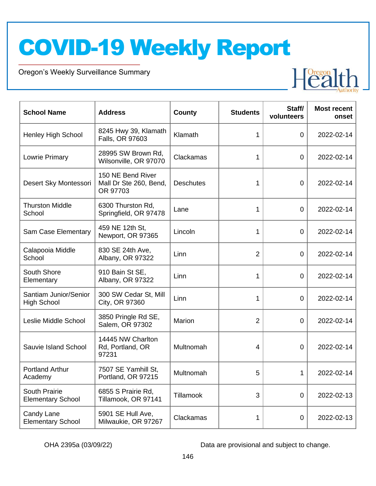Oregon's Weekly Surveillance Summary

Novel Coronavirus (COVID-19)



| <b>School Name</b>                          | <b>Address</b>                                          | County           | <b>Students</b> | Staff/<br>volunteers | <b>Most recent</b><br>onset |
|---------------------------------------------|---------------------------------------------------------|------------------|-----------------|----------------------|-----------------------------|
| <b>Henley High School</b>                   | 8245 Hwy 39, Klamath<br>Falls, OR 97603                 | Klamath          | 1               | 0                    | 2022-02-14                  |
| Lowrie Primary                              | 28995 SW Brown Rd,<br>Wilsonville, OR 97070             | Clackamas        | 1               | 0                    | 2022-02-14                  |
| Desert Sky Montessori                       | 150 NE Bend River<br>Mall Dr Ste 260, Bend,<br>OR 97703 | <b>Deschutes</b> | 1               | $\overline{0}$       | 2022-02-14                  |
| <b>Thurston Middle</b><br>School            | 6300 Thurston Rd,<br>Springfield, OR 97478              | Lane             | 1               | $\overline{0}$       | 2022-02-14                  |
| Sam Case Elementary                         | 459 NE 12th St.<br>Newport, OR 97365                    | Lincoln          | 1               | $\overline{0}$       | 2022-02-14                  |
| Calapooia Middle<br>School                  | 830 SE 24th Ave,<br>Albany, OR 97322                    | Linn             | $\overline{2}$  | $\overline{0}$       | 2022-02-14                  |
| South Shore<br>Elementary                   | 910 Bain St SE,<br>Albany, OR 97322                     | Linn             | 1               | $\overline{0}$       | 2022-02-14                  |
| Santiam Junior/Senior<br><b>High School</b> | 300 SW Cedar St, Mill<br>City, OR 97360                 | Linn             | 1               | $\overline{0}$       | 2022-02-14                  |
| Leslie Middle School                        | 3850 Pringle Rd SE,<br>Salem, OR 97302                  | Marion           | $\overline{2}$  | 0                    | 2022-02-14                  |
| Sauvie Island School                        | 14445 NW Charlton<br>Rd, Portland, OR<br>97231          | Multnomah        | 4               | 0                    | 2022-02-14                  |
| <b>Portland Arthur</b><br>Academy           | 7507 SE Yamhill St,<br>Portland, OR 97215               | Multnomah        | 5               | 1                    | 2022-02-14                  |
| South Prairie<br><b>Elementary School</b>   | 6855 S Prairie Rd,<br>Tillamook, OR 97141               | Tillamook        | 3               | $\overline{0}$       | 2022-02-13                  |
| Candy Lane<br><b>Elementary School</b>      | 5901 SE Hull Ave,<br>Milwaukie, OR 97267                | Clackamas        | 1               | $\mathbf 0$          | 2022-02-13                  |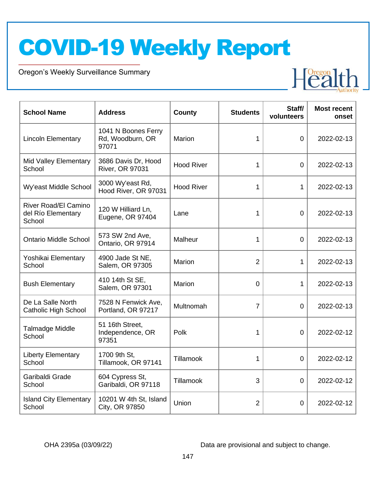Oregon's Weekly Surveillance Summary

Novel Coronavirus (COVID-19)



| <b>School Name</b>                                          | <b>Address</b>                                   | <b>County</b>     | <b>Students</b> | Staff/<br>volunteers | <b>Most recent</b><br>onset |
|-------------------------------------------------------------|--------------------------------------------------|-------------------|-----------------|----------------------|-----------------------------|
| <b>Lincoln Elementary</b>                                   | 1041 N Boones Ferry<br>Rd, Woodburn, OR<br>97071 | Marion            | 1               | $\overline{0}$       | 2022-02-13                  |
| Mid Valley Elementary<br>School                             | 3686 Davis Dr, Hood<br><b>River, OR 97031</b>    | <b>Hood River</b> | 1               | 0                    | 2022-02-13                  |
| Wy'east Middle School                                       | 3000 Wy'east Rd,<br>Hood River, OR 97031         | <b>Hood River</b> | 1               | $\mathbf 1$          | 2022-02-13                  |
| <b>River Road/El Camino</b><br>del Río Elementary<br>School | 120 W Hilliard Ln,<br>Eugene, OR 97404           | Lane              | 1               | $\overline{0}$       | 2022-02-13                  |
| <b>Ontario Middle School</b>                                | 573 SW 2nd Ave,<br>Ontario, OR 97914             | Malheur           | 1               | $\overline{0}$       | 2022-02-13                  |
| Yoshikai Elementary<br>School                               | 4900 Jade St NE,<br>Salem, OR 97305              | Marion            | $\overline{2}$  | $\mathbf 1$          | 2022-02-13                  |
| <b>Bush Elementary</b>                                      | 410 14th St SE,<br>Salem, OR 97301               | Marion            | $\overline{0}$  | 1                    | 2022-02-13                  |
| De La Salle North<br><b>Catholic High School</b>            | 7528 N Fenwick Ave,<br>Portland, OR 97217        | Multnomah         | 7               | $\overline{0}$       | 2022-02-13                  |
| <b>Talmadge Middle</b><br>School                            | 51 16th Street,<br>Independence, OR<br>97351     | Polk              | 1               | $\overline{0}$       | 2022-02-12                  |
| <b>Liberty Elementary</b><br>School                         | 1700 9th St,<br>Tillamook, OR 97141              | Tillamook         | 1               | $\overline{0}$       | 2022-02-12                  |
| Garibaldi Grade<br>School                                   | 604 Cypress St,<br>Garibaldi, OR 97118           | Tillamook         | 3               | $\Omega$             | 2022-02-12                  |
| <b>Island City Elementary</b><br>School                     | 10201 W 4th St, Island<br>City, OR 97850         | Union             | $\overline{2}$  | 0                    | 2022-02-12                  |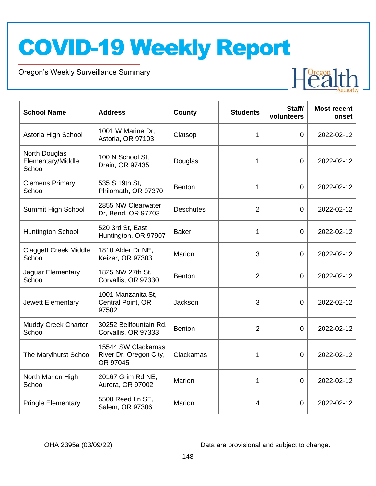Oregon's Weekly Surveillance Summary

Novel Coronavirus (COVID-19)



| <b>School Name</b>                           | <b>Address</b>                                           | <b>County</b>    | <b>Students</b> | Staff/<br>volunteers | <b>Most recent</b><br>onset |
|----------------------------------------------|----------------------------------------------------------|------------------|-----------------|----------------------|-----------------------------|
| Astoria High School                          | 1001 W Marine Dr,<br>Astoria, OR 97103                   | Clatsop          | 1               | $\overline{0}$       | 2022-02-12                  |
| North Douglas<br>Elementary/Middle<br>School | 100 N School St,<br>Drain, OR 97435                      | Douglas          | 1               | $\overline{0}$       | 2022-02-12                  |
| <b>Clemens Primary</b><br>School             | 535 S 19th St,<br>Philomath, OR 97370                    | Benton           | 1               | $\overline{0}$       | 2022-02-12                  |
| Summit High School                           | 2855 NW Clearwater<br>Dr, Bend, OR 97703                 | <b>Deschutes</b> | $\overline{2}$  | $\mathbf 0$          | 2022-02-12                  |
| <b>Huntington School</b>                     | 520 3rd St, East<br>Huntington, OR 97907                 | <b>Baker</b>     | 1               | $\overline{0}$       | 2022-02-12                  |
| <b>Claggett Creek Middle</b><br>School       | 1810 Alder Dr NE,<br>Keizer, OR 97303                    | Marion           | 3               | $\overline{0}$       | 2022-02-12                  |
| Jaguar Elementary<br>School                  | 1825 NW 27th St,<br>Corvallis, OR 97330                  | Benton           | $\overline{2}$  | 0                    | 2022-02-12                  |
| Jewett Elementary                            | 1001 Manzanita St,<br>Central Point, OR<br>97502         | Jackson          | 3               | $\mathbf 0$          | 2022-02-12                  |
| <b>Muddy Creek Charter</b><br>School         | 30252 Bellfountain Rd,<br>Corvallis, OR 97333            | Benton           | $\overline{2}$  | $\Omega$             | 2022-02-12                  |
| The Marylhurst School                        | 15544 SW Clackamas<br>River Dr, Oregon City,<br>OR 97045 | Clackamas        | 1               | $\mathbf 0$          | 2022-02-12                  |
| North Marion High<br>School                  | 20167 Grim Rd NE,<br>Aurora, OR 97002                    | Marion           | 1               | $\Omega$             | 2022-02-12                  |
| <b>Pringle Elementary</b>                    | 5500 Reed Ln SE,<br>Salem, OR 97306                      | Marion           | 4               | 0                    | 2022-02-12                  |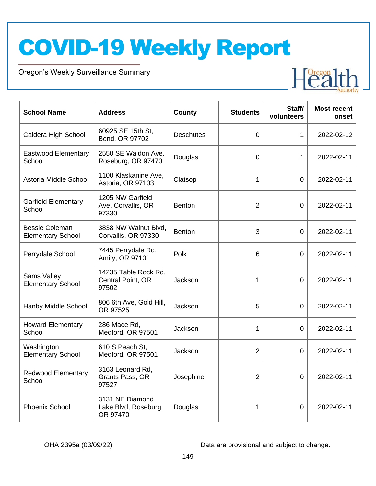Oregon's Weekly Surveillance Summary

Novel Coronavirus (COVID-19)



| <b>School Name</b>                                | <b>Address</b>                                      | <b>County</b>    | <b>Students</b> | Staff/<br>volunteers | <b>Most recent</b><br>onset |
|---------------------------------------------------|-----------------------------------------------------|------------------|-----------------|----------------------|-----------------------------|
| Caldera High School                               | 60925 SE 15th St,<br>Bend, OR 97702                 | <b>Deschutes</b> | 0               | 1                    | 2022-02-12                  |
| <b>Eastwood Elementary</b><br>School              | 2550 SE Waldon Ave,<br>Roseburg, OR 97470           | Douglas          | $\overline{0}$  | 1                    | 2022-02-11                  |
| Astoria Middle School                             | 1100 Klaskanine Ave,<br>Astoria, OR 97103           | Clatsop          | 1               | $\mathbf 0$          | 2022-02-11                  |
| Garfield Elementary<br>School                     | 1205 NW Garfield<br>Ave, Corvallis, OR<br>97330     | <b>Benton</b>    | $\overline{2}$  | $\mathbf 0$          | 2022-02-11                  |
| <b>Bessie Coleman</b><br><b>Elementary School</b> | 3838 NW Walnut Blvd,<br>Corvallis, OR 97330         | Benton           | 3               | $\mathbf 0$          | 2022-02-11                  |
| Perrydale School                                  | 7445 Perrydale Rd,<br>Amity, OR 97101               | Polk             | 6               | $\mathbf 0$          | 2022-02-11                  |
| <b>Sams Valley</b><br><b>Elementary School</b>    | 14235 Table Rock Rd,<br>Central Point, OR<br>97502  | Jackson          | 1               | $\overline{0}$       | 2022-02-11                  |
| Hanby Middle School                               | 806 6th Ave, Gold Hill,<br>OR 97525                 | Jackson          | 5               | $\overline{0}$       | 2022-02-11                  |
| <b>Howard Elementary</b><br>School                | 286 Mace Rd,<br>Medford, OR 97501                   | Jackson          | 1               | $\overline{0}$       | 2022-02-11                  |
| Washington<br><b>Elementary School</b>            | 610 S Peach St,<br>Medford, OR 97501                | Jackson          | 2               | $\overline{0}$       | 2022-02-11                  |
| <b>Redwood Elementary</b><br>School               | 3163 Leonard Rd,<br>Grants Pass, OR<br>97527        | Josephine        | 2               | 0                    | 2022-02-11                  |
| Phoenix School                                    | 3131 NE Diamond<br>Lake Blvd, Roseburg,<br>OR 97470 | Douglas          | 1               | $\mathbf 0$          | 2022-02-11                  |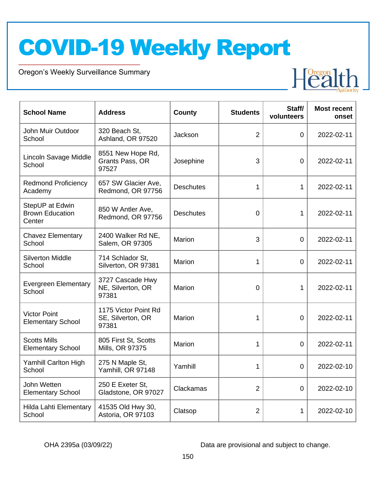Oregon's Weekly Surveillance Summary

Novel Coronavirus (COVID-19)



| <b>School Name</b>                                  | <b>Address</b>                                     | County           | <b>Students</b> | Staff/<br>volunteers | <b>Most recent</b><br>onset |
|-----------------------------------------------------|----------------------------------------------------|------------------|-----------------|----------------------|-----------------------------|
| John Muir Outdoor<br>School                         | 320 Beach St,<br>Ashland, OR 97520                 | Jackson          | $\overline{2}$  | $\mathbf 0$          | 2022-02-11                  |
| Lincoln Savage Middle<br>School                     | 8551 New Hope Rd,<br>Grants Pass, OR<br>97527      | Josephine        | 3               | $\mathbf 0$          | 2022-02-11                  |
| <b>Redmond Proficiency</b><br>Academy               | 657 SW Glacier Ave,<br>Redmond, OR 97756           | <b>Deschutes</b> | 1               | 1                    | 2022-02-11                  |
| StepUP at Edwin<br><b>Brown Education</b><br>Center | 850 W Antler Ave,<br>Redmond, OR 97756             | <b>Deschutes</b> | $\overline{0}$  | 1                    | 2022-02-11                  |
| <b>Chavez Elementary</b><br>School                  | 2400 Walker Rd NE,<br>Salem, OR 97305              | Marion           | 3               | 0                    | 2022-02-11                  |
| <b>Silverton Middle</b><br>School                   | 714 Schlador St.<br>Silverton, OR 97381            | Marion           | 1               | 0                    | 2022-02-11                  |
| <b>Evergreen Elementary</b><br>School               | 3727 Cascade Hwy<br>NE, Silverton, OR<br>97381     | Marion           | $\mathbf 0$     | 1                    | 2022-02-11                  |
| <b>Victor Point</b><br><b>Elementary School</b>     | 1175 Victor Point Rd<br>SE, Silverton, OR<br>97381 | Marion           | 1               | $\overline{0}$       | 2022-02-11                  |
| <b>Scotts Mills</b><br><b>Elementary School</b>     | 805 First St, Scotts<br>Mills, OR 97375            | Marion           | 1               | $\Omega$             | 2022-02-11                  |
| Yamhill Carlton High<br>School                      | 275 N Maple St,<br>Yamhill, OR 97148               | Yamhill          | 1               | $\mathbf 0$          | 2022-02-10                  |
| John Wetten<br><b>Elementary School</b>             | 250 E Exeter St,<br>Gladstone, OR 97027            | Clackamas        | $\overline{2}$  | 0                    | 2022-02-10                  |
| Hilda Lahti Elementary<br>School                    | 41535 Old Hwy 30,<br>Astoria, OR 97103             | Clatsop          | $\overline{2}$  | 1                    | 2022-02-10                  |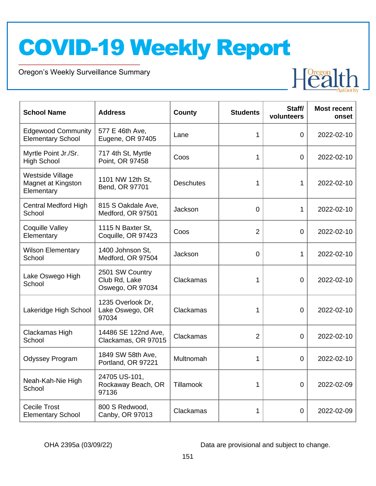Oregon's Weekly Surveillance Summary

Novel Coronavirus (COVID-19)



| <b>School Name</b>                                    | <b>Address</b>                                       | County           | <b>Students</b> | Staff/<br>volunteers | <b>Most recent</b><br>onset |
|-------------------------------------------------------|------------------------------------------------------|------------------|-----------------|----------------------|-----------------------------|
| <b>Edgewood Community</b><br><b>Elementary School</b> | 577 E 46th Ave,<br>Eugene, OR 97405                  | Lane             | 1               | $\overline{0}$       | 2022-02-10                  |
| Myrtle Point Jr./Sr.<br><b>High School</b>            | 717 4th St, Myrtle<br>Point, OR 97458                | Coos             | 1               | 0                    | 2022-02-10                  |
| Westside Village<br>Magnet at Kingston<br>Elementary  | 1101 NW 12th St,<br>Bend, OR 97701                   | <b>Deschutes</b> | 1               | 1                    | 2022-02-10                  |
| <b>Central Medford High</b><br>School                 | 815 S Oakdale Ave,<br>Medford, OR 97501              | Jackson          | 0               | 1                    | 2022-02-10                  |
| <b>Coquille Valley</b><br>Elementary                  | 1115 N Baxter St,<br>Coquille, OR 97423              | Coos             | $\overline{2}$  | $\overline{0}$       | 2022-02-10                  |
| <b>Wilson Elementary</b><br>School                    | 1400 Johnson St,<br>Medford, OR 97504                | Jackson          | $\overline{0}$  | 1                    | 2022-02-10                  |
| Lake Oswego High<br>School                            | 2501 SW Country<br>Club Rd, Lake<br>Oswego, OR 97034 | Clackamas        | 1               | $\overline{0}$       | 2022-02-10                  |
| Lakeridge High School                                 | 1235 Overlook Dr,<br>Lake Oswego, OR<br>97034        | Clackamas        | 1               | 0                    | 2022-02-10                  |
| Clackamas High<br>School                              | 14486 SE 122nd Ave,<br>Clackamas, OR 97015           | Clackamas        | $\overline{2}$  | $\overline{0}$       | 2022-02-10                  |
| <b>Odyssey Program</b>                                | 1849 SW 58th Ave,<br>Portland, OR 97221              | Multnomah        | 1               | 0                    | 2022-02-10                  |
| Neah-Kah-Nie High<br>School                           | 24705 US-101,<br>Rockaway Beach, OR<br>97136         | Tillamook        | 1               | $\overline{0}$       | 2022-02-09                  |
| <b>Cecile Trost</b><br><b>Elementary School</b>       | 800 S Redwood,<br>Canby, OR 97013                    | Clackamas        | 1               | 0                    | 2022-02-09                  |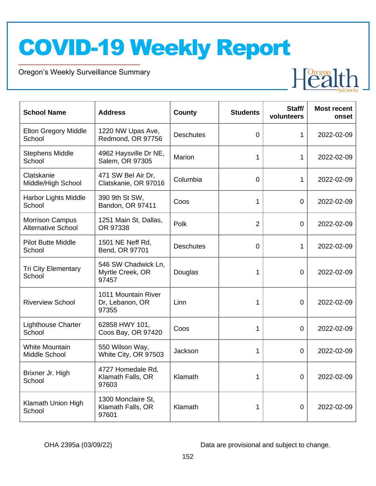Oregon's Weekly Surveillance Summary

Novel Coronavirus (COVID-19)



| <b>School Name</b>                                  | <b>Address</b>                                   | County           | <b>Students</b> | Staff/<br>volunteers | <b>Most recent</b><br>onset |
|-----------------------------------------------------|--------------------------------------------------|------------------|-----------------|----------------------|-----------------------------|
| <b>Elton Gregory Middle</b><br>School               | 1220 NW Upas Ave,<br>Redmond, OR 97756           | <b>Deschutes</b> | $\overline{0}$  | 1                    | 2022-02-09                  |
| <b>Stephens Middle</b><br>School                    | 4962 Haysville Dr NE,<br>Salem, OR 97305         | Marion           | 1               | 1                    | 2022-02-09                  |
| Clatskanie<br>Middle/High School                    | 471 SW Bel Air Dr,<br>Clatskanie, OR 97016       | Columbia         | 0               | 1                    | 2022-02-09                  |
| Harbor Lights Middle<br>School                      | 390 9th St SW,<br>Bandon, OR 97411               | Coos             | 1               | $\overline{0}$       | 2022-02-09                  |
| <b>Morrison Campus</b><br><b>Alternative School</b> | 1251 Main St, Dallas,<br>OR 97338                | Polk             | $\overline{2}$  | $\overline{0}$       | 2022-02-09                  |
| <b>Pilot Butte Middle</b><br>School                 | 1501 NE Neff Rd,<br>Bend, OR 97701               | <b>Deschutes</b> | $\overline{0}$  | $\mathbf 1$          | 2022-02-09                  |
| <b>Tri City Elementary</b><br>School                | 546 SW Chadwick Ln,<br>Myrtle Creek, OR<br>97457 | Douglas          | 1               | $\overline{0}$       | 2022-02-09                  |
| <b>Riverview School</b>                             | 1011 Mountain River<br>Dr, Lebanon, OR<br>97355  | Linn             | 1               | 0                    | 2022-02-09                  |
| <b>Lighthouse Charter</b><br>School                 | 62858 HWY 101,<br>Coos Bay, OR 97420             | Coos             | 1               | $\overline{0}$       | 2022-02-09                  |
| <b>White Mountain</b><br>Middle School              | 550 Wilson Way,<br>White City, OR 97503          | Jackson          | 1               | 0                    | 2022-02-09                  |
| Brixner Jr. High<br>School                          | 4727 Homedale Rd,<br>Klamath Falls, OR<br>97603  | Klamath          |                 | 0                    | 2022-02-09                  |
| Klamath Union High<br>School                        | 1300 Monclaire St,<br>Klamath Falls, OR<br>97601 | Klamath          | 1               | $\mathbf 0$          | 2022-02-09                  |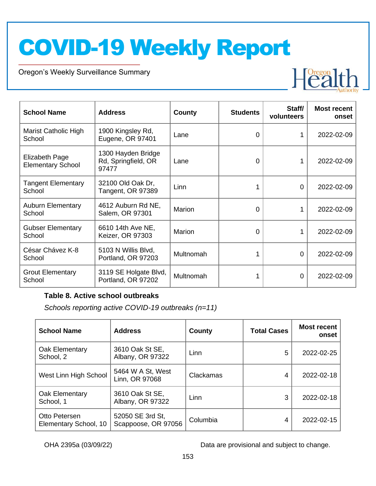Oregon's Weekly Surveillance Summary

Novel Coronavirus (COVID-19)



| <b>School Name</b>                         | <b>Address</b>                                     | County    | <b>Students</b> | Staff/<br>volunteers | <b>Most recent</b><br>onset |
|--------------------------------------------|----------------------------------------------------|-----------|-----------------|----------------------|-----------------------------|
| Marist Catholic High<br>School             | 1900 Kingsley Rd,<br>Eugene, OR 97401              | Lane      | $\Omega$        | 1                    | 2022-02-09                  |
| Elizabeth Page<br><b>Elementary School</b> | 1300 Hayden Bridge<br>Rd, Springfield, OR<br>97477 | Lane      | $\Omega$        |                      | 2022-02-09                  |
| <b>Tangent Elementary</b><br>School        | 32100 Old Oak Dr,<br>Tangent, OR 97389             | Linn      |                 | $\Omega$             | 2022-02-09                  |
| <b>Auburn Elementary</b><br>School         | 4612 Auburn Rd NE,<br>Salem, OR 97301              | Marion    | $\Omega$        | 1                    | 2022-02-09                  |
| <b>Gubser Elementary</b><br>School         | 6610 14th Ave NE,<br>Keizer, OR 97303              | Marion    | $\Omega$        | 1                    | 2022-02-09                  |
| César Chávez K-8<br>School                 | 5103 N Willis Blvd,<br>Portland, OR 97203          | Multnomah |                 | 0                    | 2022-02-09                  |
| <b>Grout Elementary</b><br>School          | 3119 SE Holgate Blvd,<br>Portland, OR 97202        | Multnomah |                 | 0                    | 2022-02-09                  |

#### **Table 8. Active school outbreaks**

*Schools reporting active COVID-19 outbreaks (n=11)*

| <b>School Name</b>                     | <b>Address</b>                          | County    | <b>Total Cases</b> | <b>Most recent</b><br>onset |
|----------------------------------------|-----------------------------------------|-----------|--------------------|-----------------------------|
| Oak Elementary<br>School, 2            | 3610 Oak St SE,<br>Albany, OR 97322     | Linn      | 5                  | 2022-02-25                  |
| West Linn High School                  | 5464 W A St, West<br>Linn, OR 97068     | Clackamas | 4                  | 2022-02-18                  |
| Oak Elementary<br>School, 1            | 3610 Oak St SE,<br>Albany, OR 97322     | Linn      | 3                  | 2022-02-18                  |
| Otto Petersen<br>Elementary School, 10 | 52050 SE 3rd St,<br>Scappoose, OR 97056 | Columbia  | 4                  | 2022-02-15                  |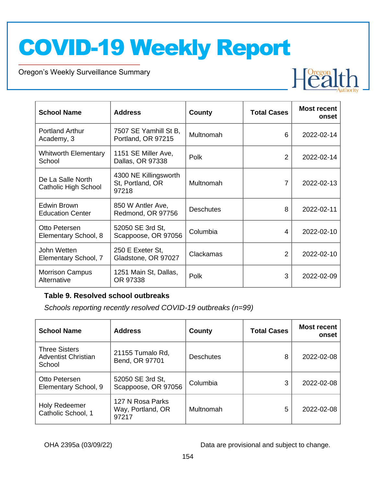Oregon's Weekly Surveillance Summary

Novel Coronavirus (COVID-19)

| <b>School Name</b>                               | <b>Address</b>                                     | <b>County</b>    | <b>Total Cases</b> | <b>Most recent</b><br>onset |
|--------------------------------------------------|----------------------------------------------------|------------------|--------------------|-----------------------------|
| <b>Portland Arthur</b><br>Academy, 3             | 7507 SE Yamhill St B,<br>Portland, OR 97215        | Multnomah        | 6                  | 2022-02-14                  |
| <b>Whitworth Elementary</b><br>School            | 1151 SE Miller Ave,<br>Dallas, OR 97338            | <b>Polk</b>      | $\overline{2}$     | 2022-02-14                  |
| De La Salle North<br><b>Catholic High School</b> | 4300 NE Killingsworth<br>St, Portland, OR<br>97218 | Multnomah        | 7                  | 2022-02-13                  |
| Edwin Brown<br><b>Education Center</b>           | 850 W Antler Ave,<br>Redmond, OR 97756             | <b>Deschutes</b> | 8                  | 2022-02-11                  |
| Otto Petersen<br>Elementary School, 8            | 52050 SE 3rd St,<br>Scappoose, OR 97056            | Columbia         | 4                  | 2022-02-10                  |
| John Wetten<br>Elementary School, 7              | 250 E Exeter St,<br>Gladstone, OR 97027            | Clackamas        | 2                  | 2022-02-10                  |
| <b>Morrison Campus</b><br>Alternative            | 1251 Main St, Dallas,<br>OR 97338                  | Polk             | 3                  | 2022-02-09                  |

#### **Table 9. Resolved school outbreaks**

*Schools reporting recently resolved COVID-19 outbreaks (n=99)*

| <b>School Name</b>                                           | <b>Address</b>                                 | County           | <b>Total Cases</b> | <b>Most recent</b><br>onset |
|--------------------------------------------------------------|------------------------------------------------|------------------|--------------------|-----------------------------|
| <b>Three Sisters</b><br><b>Adventist Christian</b><br>School | 21155 Tumalo Rd,<br>Bend, OR 97701             | <b>Deschutes</b> | 8                  | 2022-02-08                  |
| Otto Petersen<br>Elementary School, 9                        | 52050 SE 3rd St,<br>Scappoose, OR 97056        | Columbia         | 3                  | 2022-02-08                  |
| Holy Redeemer<br>Catholic School, 1                          | 127 N Rosa Parks<br>Way, Portland, OR<br>97217 | Multnomah        | 5                  | 2022-02-08                  |

OHA 2395a (03/09/22) Data are provisional and subject to change.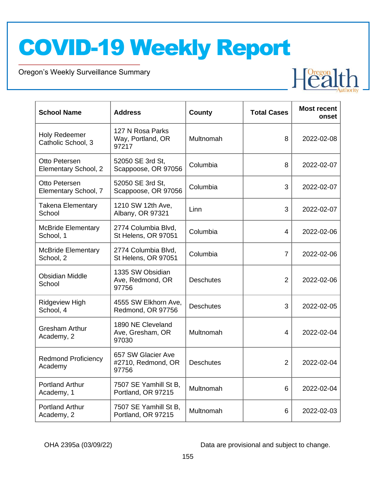Oregon's Weekly Surveillance Summary

Novel Coronavirus (COVID-19)



| <b>School Name</b>                     | <b>Address</b>                                    | County           | <b>Total Cases</b> | <b>Most recent</b><br>onset |
|----------------------------------------|---------------------------------------------------|------------------|--------------------|-----------------------------|
| Holy Redeemer<br>Catholic School, 3    | 127 N Rosa Parks<br>Way, Portland, OR<br>97217    | Multnomah        | 8                  | 2022-02-08                  |
| Otto Petersen<br>Elementary School, 2  | 52050 SE 3rd St,<br>Scappoose, OR 97056           | Columbia         | 8                  | 2022-02-07                  |
| Otto Petersen<br>Elementary School, 7  | 52050 SE 3rd St,<br>Scappoose, OR 97056           | Columbia         | 3                  | 2022-02-07                  |
| <b>Takena Elementary</b><br>School     | 1210 SW 12th Ave,<br>Albany, OR 97321             | Linn             | 3                  | 2022-02-07                  |
| <b>McBride Elementary</b><br>School, 1 | 2774 Columbia Blvd,<br>St Helens, OR 97051        | Columbia         | $\overline{4}$     | 2022-02-06                  |
| <b>McBride Elementary</b><br>School, 2 | 2774 Columbia Blvd,<br>St Helens, OR 97051        | Columbia         | $\overline{7}$     | 2022-02-06                  |
| <b>Obsidian Middle</b><br>School       | 1335 SW Obsidian<br>Ave, Redmond, OR<br>97756     | <b>Deschutes</b> | $\overline{2}$     | 2022-02-06                  |
| <b>Ridgeview High</b><br>School, 4     | 4555 SW Elkhorn Ave,<br>Redmond, OR 97756         | <b>Deschutes</b> | 3                  | 2022-02-05                  |
| <b>Gresham Arthur</b><br>Academy, 2    | 1890 NE Cleveland<br>Ave, Gresham, OR<br>97030    | Multnomah        | 4                  | 2022-02-04                  |
| <b>Redmond Proficiency</b><br>Academy  | 657 SW Glacier Ave<br>#2710, Redmond, OR<br>97756 | <b>Deschutes</b> | 2                  | 2022-02-04                  |
| <b>Portland Arthur</b><br>Academy, 1   | 7507 SE Yamhill St B,<br>Portland, OR 97215       | Multnomah        | 6                  | 2022-02-04                  |
| <b>Portland Arthur</b><br>Academy, 2   | 7507 SE Yamhill St B,<br>Portland, OR 97215       | Multnomah        | 6                  | 2022-02-03                  |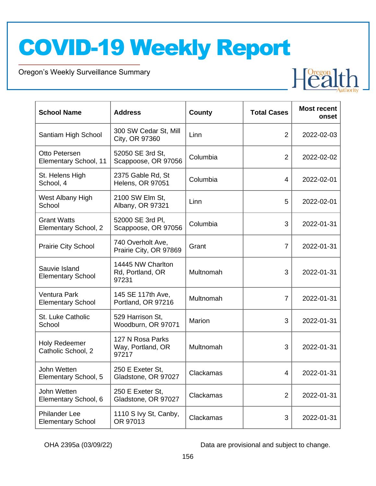Oregon's Weekly Surveillance Summary

Novel Coronavirus (COVID-19)

| <b>School Name</b>                               | <b>Address</b>                                 | <b>County</b> | <b>Total Cases</b> | <b>Most recent</b><br>onset |
|--------------------------------------------------|------------------------------------------------|---------------|--------------------|-----------------------------|
| Santiam High School                              | 300 SW Cedar St, Mill<br>City, OR 97360        | Linn          | $\overline{2}$     | 2022-02-03                  |
| Otto Petersen<br>Elementary School, 11           | 52050 SE 3rd St,<br>Scappoose, OR 97056        | Columbia      | $\overline{2}$     | 2022-02-02                  |
| St. Helens High<br>School, 4                     | 2375 Gable Rd, St<br><b>Helens, OR 97051</b>   | Columbia      | 4                  | 2022-02-01                  |
| West Albany High<br>School                       | 2100 SW Elm St,<br>Albany, OR 97321            | Linn          | 5                  | 2022-02-01                  |
| <b>Grant Watts</b><br>Elementary School, 2       | 52000 SE 3rd Pl,<br>Scappoose, OR 97056        | Columbia      | 3                  | 2022-01-31                  |
| <b>Prairie City School</b>                       | 740 Overholt Ave,<br>Prairie City, OR 97869    | Grant         | $\overline{7}$     | 2022-01-31                  |
| Sauvie Island<br><b>Elementary School</b>        | 14445 NW Charlton<br>Rd, Portland, OR<br>97231 | Multnomah     | 3                  | 2022-01-31                  |
| Ventura Park<br><b>Elementary School</b>         | 145 SE 117th Ave,<br>Portland, OR 97216        | Multnomah     | $\overline{7}$     | 2022-01-31                  |
| St. Luke Catholic<br>School                      | 529 Harrison St,<br>Woodburn, OR 97071         | Marion        | 3                  | 2022-01-31                  |
| <b>Holy Redeemer</b><br>Catholic School, 2       | 127 N Rosa Parks<br>Way, Portland, OR<br>97217 | Multnomah     | 3                  | 2022-01-31                  |
| John Wetten<br>Elementary School, 5              | 250 E Exeter St,<br>Gladstone, OR 97027        | Clackamas     | 4                  | 2022-01-31                  |
| John Wetten<br>Elementary School, 6              | 250 E Exeter St,<br>Gladstone, OR 97027        | Clackamas     | $\overline{2}$     | 2022-01-31                  |
| <b>Philander Lee</b><br><b>Elementary School</b> | 1110 S Ivy St, Canby,<br>OR 97013              | Clackamas     | 3                  | 2022-01-31                  |

OHA 2395a (03/09/22) Data are provisional and subject to change.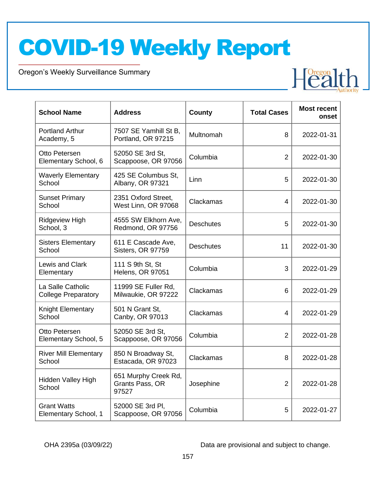Oregon's Weekly Surveillance Summary

Novel Coronavirus (COVID-19)

| <b>School Name</b>                              | <b>Address</b>                                   | County           | <b>Total Cases</b> | <b>Most recent</b><br>onset |
|-------------------------------------------------|--------------------------------------------------|------------------|--------------------|-----------------------------|
| <b>Portland Arthur</b><br>Academy, 5            | 7507 SE Yamhill St B,<br>Portland, OR 97215      | Multnomah        | 8                  | 2022-01-31                  |
| Otto Petersen<br>Elementary School, 6           | 52050 SE 3rd St,<br>Scappoose, OR 97056          | Columbia         | $\overline{2}$     | 2022-01-30                  |
| <b>Waverly Elementary</b><br>School             | 425 SE Columbus St,<br>Albany, OR 97321          | Linn             | 5                  | 2022-01-30                  |
| <b>Sunset Primary</b><br>School                 | 2351 Oxford Street,<br>West Linn, OR 97068       | Clackamas        | 4                  | 2022-01-30                  |
| <b>Ridgeview High</b><br>School, 3              | 4555 SW Elkhorn Ave,<br>Redmond, OR 97756        | <b>Deschutes</b> | 5                  | 2022-01-30                  |
| <b>Sisters Elementary</b><br>School             | 611 E Cascade Ave,<br>Sisters, OR 97759          | <b>Deschutes</b> | 11                 | 2022-01-30                  |
| Lewis and Clark<br>Elementary                   | 111 S 9th St, St<br><b>Helens, OR 97051</b>      | Columbia         | 3                  | 2022-01-29                  |
| La Salle Catholic<br><b>College Preparatory</b> | 11999 SE Fuller Rd,<br>Milwaukie, OR 97222       | Clackamas        | 6                  | 2022-01-29                  |
| Knight Elementary<br>School                     | 501 N Grant St,<br>Canby, OR 97013               | Clackamas        | $\overline{4}$     | 2022-01-29                  |
| Otto Petersen<br>Elementary School, 5           | 52050 SE 3rd St,<br>Scappoose, OR 97056          | Columbia         | $\overline{2}$     | 2022-01-28                  |
| <b>River Mill Elementary</b><br>School          | 850 N Broadway St,<br>Estacada, OR 97023         | Clackamas        | 8                  | 2022-01-28                  |
| Hidden Valley High<br>School                    | 651 Murphy Creek Rd,<br>Grants Pass, OR<br>97527 | Josephine        | $\overline{2}$     | 2022-01-28                  |
| <b>Grant Watts</b><br>Elementary School, 1      | 52000 SE 3rd PI,<br>Scappoose, OR 97056          | Columbia         | 5                  | 2022-01-27                  |

OHA 2395a (03/09/22) Data are provisional and subject to change.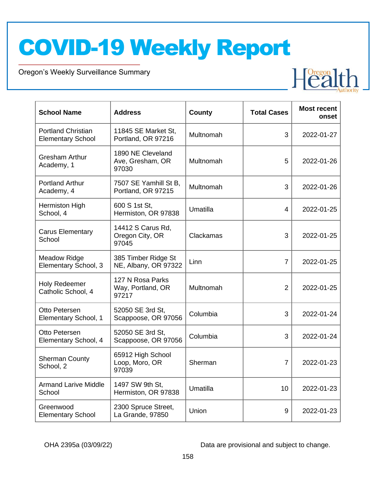Oregon's Weekly Surveillance Summary

Novel Coronavirus (COVID-19)

| <b>School Name</b>                                    | <b>Address</b>                                 | <b>County</b> | <b>Total Cases</b> | <b>Most recent</b><br>onset |
|-------------------------------------------------------|------------------------------------------------|---------------|--------------------|-----------------------------|
| <b>Portland Christian</b><br><b>Elementary School</b> | 11845 SE Market St,<br>Portland, OR 97216      | Multnomah     | 3                  | 2022-01-27                  |
| <b>Gresham Arthur</b><br>Academy, 1                   | 1890 NE Cleveland<br>Ave, Gresham, OR<br>97030 | Multnomah     | 5                  | 2022-01-26                  |
| <b>Portland Arthur</b><br>Academy, 4                  | 7507 SE Yamhill St B,<br>Portland, OR 97215    | Multnomah     | 3                  | 2022-01-26                  |
| Hermiston High<br>School, 4                           | 600 S 1st St,<br>Hermiston, OR 97838           | Umatilla      | $\overline{4}$     | 2022-01-25                  |
| <b>Carus Elementary</b><br>School                     | 14412 S Carus Rd,<br>Oregon City, OR<br>97045  | Clackamas     | 3                  | 2022-01-25                  |
| <b>Meadow Ridge</b><br>Elementary School, 3           | 385 Timber Ridge St<br>NE, Albany, OR 97322    | Linn          | $\overline{7}$     | 2022-01-25                  |
| <b>Holy Redeemer</b><br>Catholic School, 4            | 127 N Rosa Parks<br>Way, Portland, OR<br>97217 | Multnomah     | $\overline{2}$     | 2022-01-25                  |
| Otto Petersen<br>Elementary School, 1                 | 52050 SE 3rd St,<br>Scappoose, OR 97056        | Columbia      | 3                  | 2022-01-24                  |
| Otto Petersen<br>Elementary School, 4                 | 52050 SE 3rd St,<br>Scappoose, OR 97056        | Columbia      | 3                  | 2022-01-24                  |
| <b>Sherman County</b><br>School, 2                    | 65912 High School<br>Loop, Moro, OR<br>97039   | Sherman       | $\overline{7}$     | 2022-01-23                  |
| <b>Armand Larive Middle</b><br>School                 | 1497 SW 9th St.<br>Hermiston, OR 97838         | Umatilla      | 10                 | 2022-01-23                  |
| Greenwood<br><b>Elementary School</b>                 | 2300 Spruce Street,<br>La Grande, 97850        | Union         | 9                  | 2022-01-23                  |

OHA 2395a (03/09/22) Data are provisional and subject to change.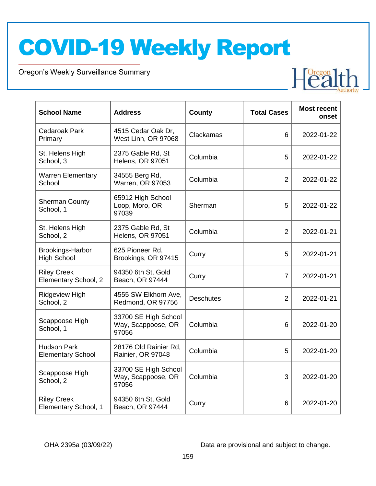Oregon's Weekly Surveillance Summary

Novel Coronavirus (COVID-19)

| <b>School Name</b>                             | <b>Address</b>                                      | County           | <b>Total Cases</b> | <b>Most recent</b><br>onset |
|------------------------------------------------|-----------------------------------------------------|------------------|--------------------|-----------------------------|
| <b>Cedaroak Park</b><br>Primary                | 4515 Cedar Oak Dr,<br>West Linn, OR 97068           | Clackamas        | 6                  | 2022-01-22                  |
| St. Helens High<br>School, 3                   | 2375 Gable Rd, St<br><b>Helens, OR 97051</b>        | Columbia         | 5                  | 2022-01-22                  |
| <b>Warren Elementary</b><br>School             | 34555 Berg Rd,<br><b>Warren, OR 97053</b>           | Columbia         | $\overline{2}$     | 2022-01-22                  |
| <b>Sherman County</b><br>School, 1             | 65912 High School<br>Loop, Moro, OR<br>97039        | Sherman          | 5                  | 2022-01-22                  |
| St. Helens High<br>School, 2                   | 2375 Gable Rd, St<br><b>Helens, OR 97051</b>        | Columbia         | $\overline{2}$     | 2022-01-21                  |
| <b>Brookings-Harbor</b><br><b>High School</b>  | 625 Pioneer Rd,<br>Brookings, OR 97415              | Curry            | 5                  | 2022-01-21                  |
| <b>Riley Creek</b><br>Elementary School, 2     | 94350 6th St, Gold<br>Beach, OR 97444               | Curry            | $\overline{7}$     | 2022-01-21                  |
| Ridgeview High<br>School, 2                    | 4555 SW Elkhorn Ave,<br>Redmond, OR 97756           | <b>Deschutes</b> | $\overline{2}$     | 2022-01-21                  |
| Scappoose High<br>School, 1                    | 33700 SE High School<br>Way, Scappoose, OR<br>97056 | Columbia         | 6                  | 2022-01-20                  |
| <b>Hudson Park</b><br><b>Elementary School</b> | 28176 Old Rainier Rd,<br>Rainier, OR 97048          | Columbia         | 5                  | 2022-01-20                  |
| Scappoose High<br>School, 2                    | 33700 SE High School<br>Way, Scappoose, OR<br>97056 | Columbia         | 3                  | 2022-01-20                  |
| <b>Riley Creek</b><br>Elementary School, 1     | 94350 6th St, Gold<br>Beach, OR 97444               | Curry            | 6                  | 2022-01-20                  |

OHA 2395a (03/09/22) Data are provisional and subject to change.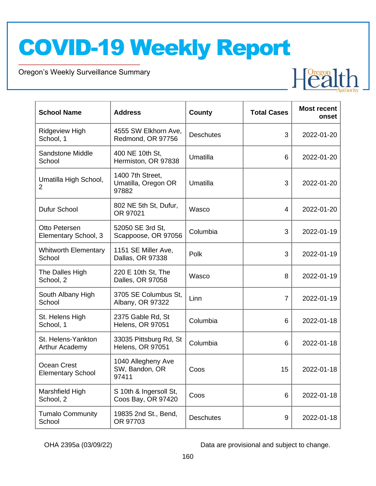Oregon's Weekly Surveillance Summary

Novel Coronavirus (COVID-19)

| <b>School Name</b>                      | <b>Address</b>                                    | County           | <b>Total Cases</b> | <b>Most recent</b><br>onset |
|-----------------------------------------|---------------------------------------------------|------------------|--------------------|-----------------------------|
| <b>Ridgeview High</b><br>School, 1      | 4555 SW Elkhorn Ave,<br>Redmond, OR 97756         | <b>Deschutes</b> | 3                  | 2022-01-20                  |
| <b>Sandstone Middle</b><br>School       | 400 NE 10th St,<br>Hermiston, OR 97838            | Umatilla         | 6                  | 2022-01-20                  |
| Umatilla High School,<br>$\overline{2}$ | 1400 7th Street,<br>Umatilla, Oregon OR<br>97882  | Umatilla         | 3                  | 2022-01-20                  |
| Dufur School                            | 802 NE 5th St, Dufur,<br>OR 97021                 | Wasco            | 4                  | 2022-01-20                  |
| Otto Petersen<br>Elementary School, 3   | 52050 SE 3rd St,<br>Scappoose, OR 97056           | Columbia         | 3                  | 2022-01-19                  |
| <b>Whitworth Elementary</b><br>School   | 1151 SE Miller Ave,<br>Dallas, OR 97338           | Polk             | 3                  | 2022-01-19                  |
| The Dalles High<br>School, 2            | 220 E 10th St, The<br>Dalles, OR 97058            | Wasco            | 8                  | 2022-01-19                  |
| South Albany High<br>School             | 3705 SE Columbus St,<br>Albany, OR 97322          | Linn             | $\overline{7}$     | 2022-01-19                  |
| St. Helens High<br>School, 1            | 2375 Gable Rd, St<br><b>Helens, OR 97051</b>      | Columbia         | 6                  | 2022-01-18                  |
| St. Helens-Yankton<br>Arthur Academy    | 33035 Pittsburg Rd, St<br><b>Helens, OR 97051</b> | Columbia         | 6                  | 2022-01-18                  |
| Ocean Crest<br><b>Elementary School</b> | 1040 Allegheny Ave<br>SW, Bandon, OR<br>97411     | Coos             | 15                 | 2022-01-18                  |
| Marshfield High<br>School, 2            | S 10th & Ingersoll St,<br>Coos Bay, OR 97420      | Coos             | 6                  | 2022-01-18                  |
| <b>Tumalo Community</b><br>School       | 19835 2nd St., Bend,<br>OR 97703                  | <b>Deschutes</b> | 9                  | 2022-01-18                  |

OHA 2395a (03/09/22) Data are provisional and subject to change.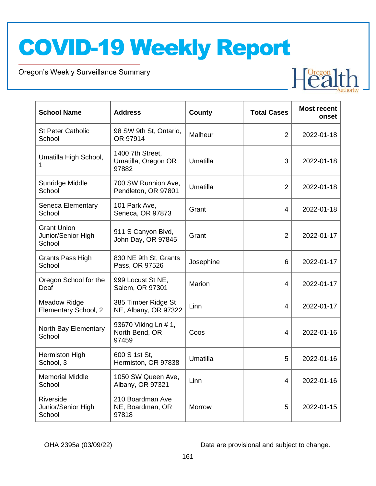Oregon's Weekly Surveillance Summary

Novel Coronavirus (COVID-19)

| <b>School Name</b>                                 | <b>Address</b>                                   | County    | <b>Total Cases</b> | <b>Most recent</b><br>onset |
|----------------------------------------------------|--------------------------------------------------|-----------|--------------------|-----------------------------|
| <b>St Peter Catholic</b><br>School                 | 98 SW 9th St, Ontario,<br>OR 97914               | Malheur   | $\overline{2}$     | 2022-01-18                  |
| Umatilla High School,<br>1                         | 1400 7th Street,<br>Umatilla, Oregon OR<br>97882 | Umatilla  | 3                  | 2022-01-18                  |
| Sunridge Middle<br>School                          | 700 SW Runnion Ave,<br>Pendleton, OR 97801       | Umatilla  | $\overline{2}$     | 2022-01-18                  |
| Seneca Elementary<br>School                        | 101 Park Ave,<br>Seneca, OR 97873                | Grant     | 4                  | 2022-01-18                  |
| <b>Grant Union</b><br>Junior/Senior High<br>School | 911 S Canyon Blvd,<br>John Day, OR 97845         | Grant     | $\overline{2}$     | 2022-01-17                  |
| <b>Grants Pass High</b><br>School                  | 830 NE 9th St, Grants<br>Pass, OR 97526          | Josephine | 6                  | 2022-01-17                  |
| Oregon School for the<br>Deaf                      | 999 Locust St NE,<br>Salem, OR 97301             | Marion    | 4                  | 2022-01-17                  |
| <b>Meadow Ridge</b><br>Elementary School, 2        | 385 Timber Ridge St<br>NE, Albany, OR 97322      | Linn      | 4                  | 2022-01-17                  |
| North Bay Elementary<br>School                     | 93670 Viking Ln # 1,<br>North Bend, OR<br>97459  | Coos      | 4                  | 2022-01-16                  |
| Hermiston High<br>School, 3                        | 600 S 1st St,<br>Hermiston, OR 97838             | Umatilla  | 5                  | 2022-01-16                  |
| <b>Memorial Middle</b><br>School                   | 1050 SW Queen Ave,<br>Albany, OR 97321           | Linn      | $\overline{4}$     | 2022-01-16                  |
| Riverside<br>Junior/Senior High<br>School          | 210 Boardman Ave<br>NE, Boardman, OR<br>97818    | Morrow    | 5                  | 2022-01-15                  |

OHA 2395a (03/09/22) Data are provisional and subject to change.